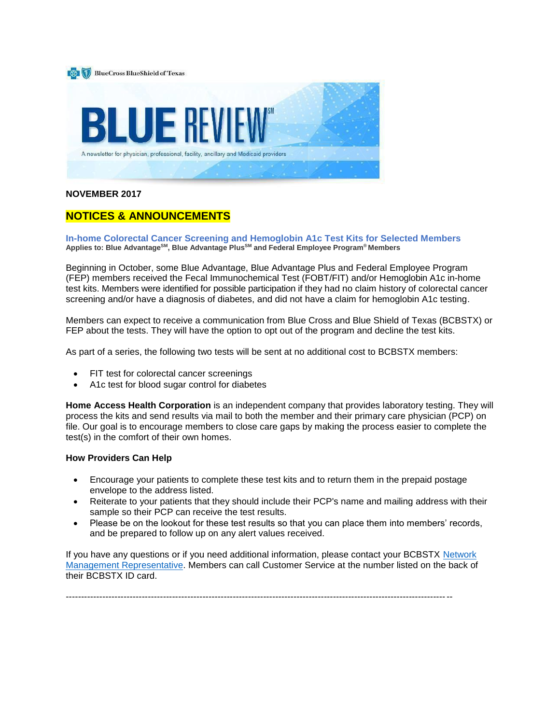

### **NOVEMBER 2017**

## **NOTICES & ANNOUNCEMENTS**

**In-home Colorectal Cancer Screening and Hemoglobin A1c Test Kits for Selected Members Applies to: Blue AdvantageSM, Blue Advantage PlusSM and Federal Employee Program**® **Members**

Beginning in October, some Blue Advantage, Blue Advantage Plus and Federal Employee Program (FEP) members received the Fecal Immunochemical Test (FOBT/FIT) and/or Hemoglobin A1c in-home test kits. Members were identified for possible participation if they had no claim history of colorectal cancer screening and/or have a diagnosis of diabetes, and did not have a claim for hemoglobin A1c testing.

Members can expect to receive a communication from Blue Cross and Blue Shield of Texas (BCBSTX) or FEP about the tests. They will have the option to opt out of the program and decline the test kits.

As part of a series, the following two tests will be sent at no additional cost to BCBSTX members:

- FIT test for colorectal cancer screenings
- A1c test for blood sugar control for diabetes

**Home Access Health Corporation** is an independent company that provides laboratory testing. They will process the kits and send results via mail to both the member and their primary care physician (PCP) on file. Our goal is to encourage members to close care gaps by making the process easier to complete the test(s) in the comfort of their own homes.

#### **How Providers Can Help**

- Encourage your patients to complete these test kits and to return them in the prepaid postage envelope to the address listed.
- Reiterate to your patients that they should include their PCP's name and mailing address with their sample so their PCP can receive the test results.
- Please be on the lookout for these test results so that you can place them into members' records, and be prepared to follow up on any alert values received.

If you have any questions or if you need additional information, please contact your BCBSTX [Network](https://www.bcbstx.com/provider/contact_us.html)  [Management Representative.](https://www.bcbstx.com/provider/contact_us.html) Members can call Customer Service at the number listed on the back of their BCBSTX ID card.

-------------------------------------------------------------------------------------------------------------------------------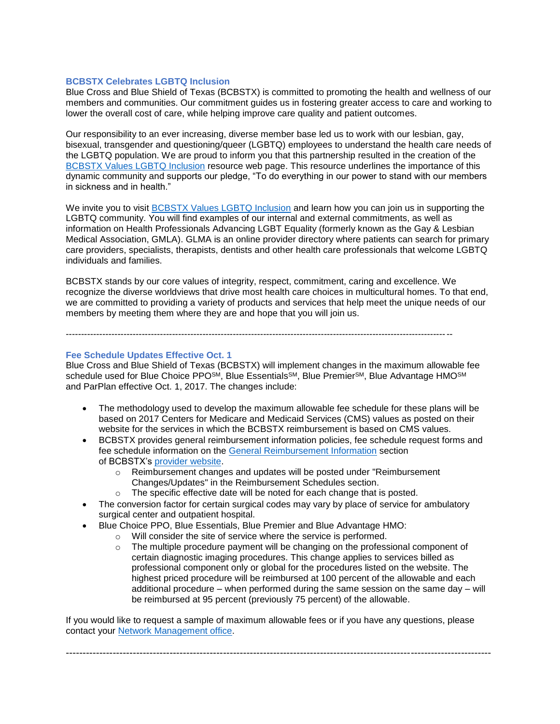#### **BCBSTX Celebrates LGBTQ Inclusion**

Blue Cross and Blue Shield of Texas (BCBSTX) is committed to promoting the health and wellness of our members and communities. Our commitment guides us in fostering greater access to care and working to lower the overall cost of care, while helping improve care quality and patient outcomes.

Our responsibility to an ever increasing, diverse member base led us to work with our lesbian, gay, bisexual, transgender and questioning/queer (LGBTQ) employees to understand the health care needs of the LGBTQ population. We are proud to inform you that this partnership resulted in the creation of the [BCBSTX Values LGBTQ Inclusion](https://www.bcbstx.com/member/advantages-of-membership/lgbtq-inclusion) resource web page. This resource underlines the importance of this dynamic community and supports our pledge, "To do everything in our power to stand with our members in sickness and in health."

We invite you to visit [BCBSTX Values LGBTQ Inclusion](https://www.bcbstx.com/member/advantages-of-membership/lgbtq-inclusion) and learn how you can join us in supporting the LGBTQ community. You will find examples of our internal and external commitments, as well as information on Health Professionals Advancing LGBT Equality (formerly known as the Gay & Lesbian Medical Association, GMLA). GLMA is an online provider directory where patients can search for primary care providers, specialists, therapists, dentists and other health care professionals that welcome LGBTQ individuals and families.

BCBSTX stands by our core values of integrity, respect, commitment, caring and excellence. We recognize the diverse worldviews that drive most health care choices in multicultural homes. To that end, we are committed to providing a variety of products and services that help meet the unique needs of our members by meeting them where they are and hope that you will join us.

# **Fee Schedule Updates Effective Oct. 1**

Blue Cross and Blue Shield of Texas (BCBSTX) will implement changes in the maximum allowable fee schedule used for Blue Choice PPO<sup>SM</sup>, Blue Essentials<sup>SM</sup>, Blue Premier<sup>SM</sup>, Blue Advantage HMO<sup>SM</sup> and ParPlan effective Oct. 1, 2017. The changes include:

-------------------------------------------------------------------------------------------------------------------------------

- The methodology used to develop the maximum allowable fee schedule for these plans will be based on 2017 Centers for Medicare and Medicaid Services (CMS) values as posted on their website for the services in which the BCBSTX reimbursement is based on CMS values.
- BCBSTX provides general reimbursement information policies, fee schedule request forms and fee schedule information on the [General Reimbursement Information](https://www.bcbstx.com/provider/gri/index.html) section of BCBSTX's [provider website.](https://www.bcbstx.com/provider/)
	- o Reimbursement changes and updates will be posted under "Reimbursement Changes/Updates" in the Reimbursement Schedules section.
	- o The specific effective date will be noted for each change that is posted.
- The conversion factor for certain surgical codes may vary by place of service for ambulatory surgical center and outpatient hospital.
- Blue Choice PPO, Blue Essentials, Blue Premier and Blue Advantage HMO:
	- o Will consider the site of service where the service is performed.
		- $\circ$  The multiple procedure payment will be changing on the professional component of certain diagnostic imaging procedures. This change applies to services billed as professional component only or global for the procedures listed on the website. The highest priced procedure will be reimbursed at 100 percent of the allowable and each additional procedure – when performed during the same session on the same day – will be reimbursed at 95 percent (previously 75 percent) of the allowable.

If you would like to request a sample of maximum allowable fees or if you have any questions, please contact your [Network Management office.](https://www.bcbstx.com/provider/contact_us.html#localnetwork)

-------------------------------------------------------------------------------------------------------------------------------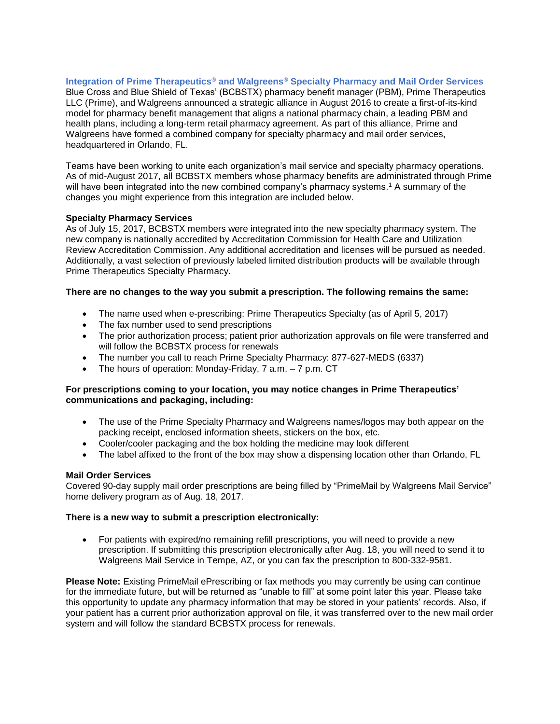**Integration of Prime Therapeutics® and Walgreens® Specialty Pharmacy and Mail Order Services** Blue Cross and Blue Shield of Texas' (BCBSTX) pharmacy benefit manager (PBM), Prime Therapeutics LLC (Prime), and Walgreens announced a strategic alliance in August 2016 to create a first-of-its-kind model for pharmacy benefit management that aligns a national pharmacy chain, a leading PBM and health plans, including a long-term retail pharmacy agreement. As part of this alliance, Prime and Walgreens have formed a combined company for specialty pharmacy and mail order services, headquartered in Orlando, FL.

Teams have been working to unite each organization's mail service and specialty pharmacy operations. As of mid-August 2017, all BCBSTX members whose pharmacy benefits are administrated through Prime will have been integrated into the new combined company's pharmacy systems.<sup>1</sup> A summary of the changes you might experience from this integration are included below.

#### **Specialty Pharmacy Services**

As of July 15, 2017, BCBSTX members were integrated into the new specialty pharmacy system. The new company is nationally accredited by Accreditation Commission for Health Care and Utilization Review Accreditation Commission. Any additional accreditation and licenses will be pursued as needed. Additionally, a vast selection of previously labeled limited distribution products will be available through Prime Therapeutics Specialty Pharmacy.

#### **There are no changes to the way you submit a prescription. The following remains the same:**

- The name used when e-prescribing: Prime Therapeutics Specialty (as of April 5, 2017)
- The fax number used to send prescriptions
- The prior authorization process; patient prior authorization approvals on file were transferred and will follow the BCBSTX process for renewals
- The number you call to reach Prime Specialty Pharmacy: 877-627-MEDS (6337)
- The hours of operation: Monday-Friday, 7 a.m. 7 p.m. CT

#### **For prescriptions coming to your location, you may notice changes in Prime Therapeutics' communications and packaging, including:**

- The use of the Prime Specialty Pharmacy and Walgreens names/logos may both appear on the packing receipt, enclosed information sheets, stickers on the box, etc.
- Cooler/cooler packaging and the box holding the medicine may look different
- The label affixed to the front of the box may show a dispensing location other than Orlando, FL

#### **Mail Order Services**

Covered 90-day supply mail order prescriptions are being filled by "PrimeMail by Walgreens Mail Service" home delivery program as of Aug. 18, 2017.

#### **There is a new way to submit a prescription electronically:**

• For patients with expired/no remaining refill prescriptions, you will need to provide a new prescription. If submitting this prescription electronically after Aug. 18, you will need to send it to Walgreens Mail Service in Tempe, AZ, or you can fax the prescription to 800-332-9581.

**Please Note:** Existing PrimeMail ePrescribing or fax methods you may currently be using can continue for the immediate future, but will be returned as "unable to fill" at some point later this year. Please take this opportunity to update any pharmacy information that may be stored in your patients' records. Also, if your patient has a current prior authorization approval on file, it was transferred over to the new mail order system and will follow the standard BCBSTX process for renewals.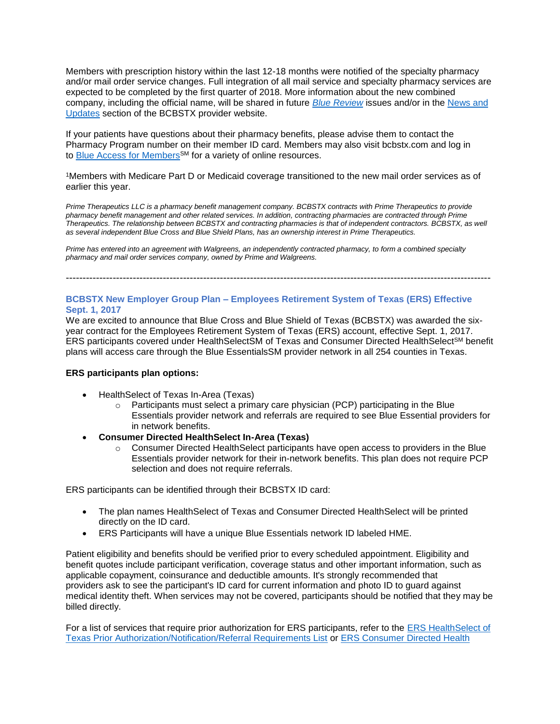Members with prescription history within the last 12-18 months were notified of the specialty pharmacy and/or mail order service changes. Full integration of all mail service and specialty pharmacy services are expected to be completed by the first quarter of 2018. More information about the new combined company, including the official name, will be shared in future *[Blue Review](https://www.bcbstx.com/provider/news/bluereview.html)* issues and/or in the [News and](https://www.bcbstx.com/provider/news/index.html)  [Updates](https://www.bcbstx.com/provider/news/index.html) section of the BCBSTX provider website.

If your patients have questions about their pharmacy benefits, please advise them to contact the Pharmacy Program number on their member ID card. Members may also visit bcbstx.com and log in to [Blue Access for Members](https://www.bcbstx.com/member)<sup>SM</sup> for a variety of online resources.

<sup>1</sup>Members with Medicare Part D or Medicaid coverage transitioned to the new mail order services as of earlier this year.

*Prime Therapeutics LLC is a pharmacy benefit management company. BCBSTX contracts with Prime Therapeutics to provide pharmacy benefit management and other related services. In addition, contracting pharmacies are contracted through Prime Therapeutics. The relationship between BCBSTX and contracting pharmacies is that of independent contractors. BCBSTX, as well as several independent Blue Cross and Blue Shield Plans, has an ownership interest in Prime Therapeutics.*

*Prime has entered into an agreement with Walgreens, an independently contracted pharmacy, to form a combined specialty pharmacy and mail order services company, owned by Prime and Walgreens.*

-------------------------------------------------------------------------------------------------------------------------------

### **BCBSTX New Employer Group Plan – Employees Retirement System of Texas (ERS) Effective Sept. 1, 2017**

We are excited to announce that Blue Cross and Blue Shield of Texas (BCBSTX) was awarded the sixyear contract for the Employees Retirement System of Texas (ERS) account, effective Sept. 1, 2017. ERS participants covered under HealthSelectSM of Texas and Consumer Directed HealthSelect<sup>SM</sup> benefit plans will access care through the Blue EssentialsSM provider network in all 254 counties in Texas.

#### **ERS participants plan options:**

- HealthSelect of Texas In-Area (Texas)
	- $\circ$  Participants must select a primary care physician (PCP) participating in the Blue Essentials provider network and referrals are required to see Blue Essential providers for in network benefits.
- **Consumer Directed HealthSelect In-Area (Texas)**
	- o Consumer Directed HealthSelect participants have open access to providers in the Blue Essentials provider network for their in-network benefits. This plan does not require PCP selection and does not require referrals.

ERS participants can be identified through their BCBSTX ID card:

- The plan names HealthSelect of Texas and Consumer Directed HealthSelect will be printed directly on the ID card.
- ERS Participants will have a unique Blue Essentials network ID labeled HME.

Patient eligibility and benefits should be verified prior to every scheduled appointment. Eligibility and benefit quotes include participant verification, coverage status and other important information, such as applicable copayment, coinsurance and deductible amounts. It's strongly recommended that providers ask to see the participant's ID card for current information and photo ID to guard against medical identity theft. When services may not be covered, participants should be notified that they may be billed directly.

For a list of services that require prior authorization for ERS participants, refer to the [ERS HealthSelect of](https://www.bcbstx.com/provider/pdf/hs-prior-auth.pdf)  [Texas Prior Authorization/Notification/Referral Requirements List](https://www.bcbstx.com/provider/pdf/hs-prior-auth.pdf) or [ERS Consumer Directed Health](https://www.bcbstx.com/provider/pdf/hs-prior-auth-consumer.pdf)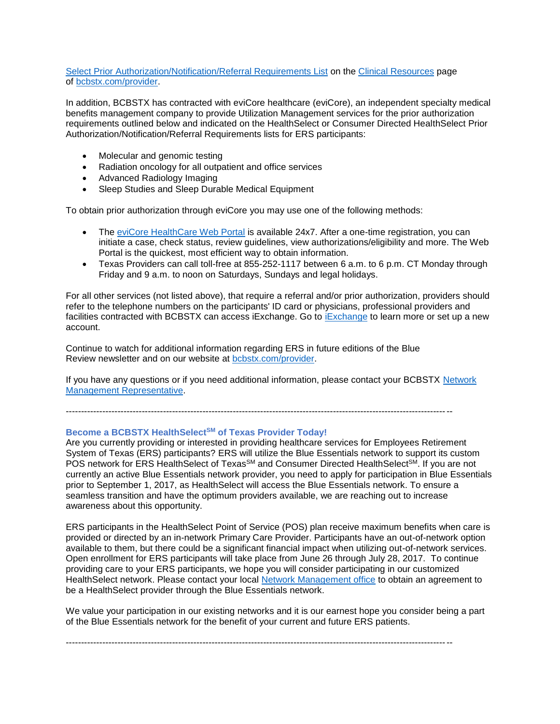### [Select Prior Authorization/Notification/Referral Requirements List](https://www.bcbstx.com/provider/pdf/hs-prior-auth-consumer.pdf) on the [Clinical Resources](https://www.bcbstx.com/provider/clinical/index.html) page of [bcbstx.com/provider.](https://www.bcbstx.com/provider/)

In addition, BCBSTX has contracted with eviCore healthcare (eviCore), an independent specialty medical benefits management company to provide Utilization Management services for the prior authorization requirements outlined below and indicated on the HealthSelect or Consumer Directed HealthSelect Prior Authorization/Notification/Referral Requirements lists for ERS participants:

- Molecular and genomic testing
- Radiation oncology for all outpatient and office services
- Advanced Radiology Imaging
- Sleep Studies and Sleep Durable Medical Equipment

To obtain prior authorization through eviCore you may use one of the following methods:

- The [eviCore HealthCare Web Portal](https://www.evicore.com/) is available 24x7. After a one-time registration, you can initiate a case, check status, review guidelines, view authorizations/eligibility and more. The Web Portal is the quickest, most efficient way to obtain information.
- Texas Providers can call toll-free at 855-252-1117 between 6 a.m. to 6 p.m. CT Monday through Friday and 9 a.m. to noon on Saturdays, Sundays and legal holidays.

For all other services (not listed above), that require a referral and/or prior authorization, providers should refer to the telephone numbers on the participants' ID card or physicians, professional providers and facilities contracted with BCBSTX can access [iExchange](https://www.bcbstx.com/provider/tools/iexchange.html). Go to iExchange to learn more or set up a new account.

Continue to watch for additional information regarding ERS in future editions of the Blue Review newsletter and on our website at [bcbstx.com/provider.](https://www.bcbstx.com/provider/)

If you have any questions or if you need additional information, please contact your BCBSTX [Network](https://www.bcbstx.com/provider/contact_us.html#localnetwork)  [Management Representative.](https://www.bcbstx.com/provider/contact_us.html#localnetwork)

-------------------------------------------------------------------------------------------------------------------------------

#### **Become a BCBSTX HealthSelectSM of Texas Provider Today!**

Are you currently providing or interested in providing healthcare services for Employees Retirement System of Texas (ERS) participants? ERS will utilize the Blue Essentials network to support its custom POS network for ERS HealthSelect of Texas<sup>SM</sup> and Consumer Directed HealthSelect<sup>SM</sup>. If you are not currently an active Blue Essentials network provider, you need to apply for participation in Blue Essentials prior to September 1, 2017, as HealthSelect will access the Blue Essentials network. To ensure a seamless transition and have the optimum providers available, we are reaching out to increase awareness about this opportunity.

ERS participants in the HealthSelect Point of Service (POS) plan receive maximum benefits when care is provided or directed by an in-network Primary Care Provider. Participants have an out-of-network option available to them, but there could be a significant financial impact when utilizing out-of-network services. Open enrollment for ERS participants will take place from June 26 through July 28, 2017. To continue providing care to your ERS participants, we hope you will consider participating in our customized HealthSelect network. Please contact your local [Network Management office](https://www.bcbstx.com/provider/contact_us.html) to obtain an agreement to be a HealthSelect provider through the Blue Essentials network.

We value your participation in our existing networks and it is our earnest hope you consider being a part of the Blue Essentials network for the benefit of your current and future ERS patients.

-------------------------------------------------------------------------------------------------------------------------------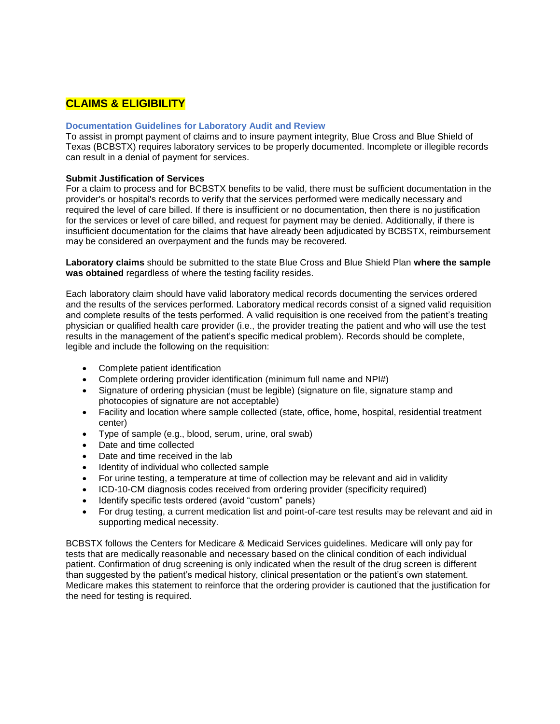### **CLAIMS & ELIGIBILITY**

#### **Documentation Guidelines for Laboratory Audit and Review**

To assist in prompt payment of claims and to insure payment integrity, Blue Cross and Blue Shield of Texas (BCBSTX) requires laboratory services to be properly documented. Incomplete or illegible records can result in a denial of payment for services.

#### **Submit Justification of Services**

For a claim to process and for BCBSTX benefits to be valid, there must be sufficient documentation in the provider's or hospital's records to verify that the services performed were medically necessary and required the level of care billed. If there is insufficient or no documentation, then there is no justification for the services or level of care billed, and request for payment may be denied. Additionally, if there is insufficient documentation for the claims that have already been adjudicated by BCBSTX, reimbursement may be considered an overpayment and the funds may be recovered.

**Laboratory claims** should be submitted to the state Blue Cross and Blue Shield Plan **where the sample was obtained** regardless of where the testing facility resides.

Each laboratory claim should have valid laboratory medical records documenting the services ordered and the results of the services performed. Laboratory medical records consist of a signed valid requisition and complete results of the tests performed. A valid requisition is one received from the patient's treating physician or qualified health care provider (i.e., the provider treating the patient and who will use the test results in the management of the patient's specific medical problem). Records should be complete, legible and include the following on the requisition:

- Complete patient identification
- Complete ordering provider identification (minimum full name and NPI#)
- Signature of ordering physician (must be legible) (signature on file, signature stamp and photocopies of signature are not acceptable)
- Facility and location where sample collected (state, office, home, hospital, residential treatment center)
- Type of sample (e.g., blood, serum, urine, oral swab)
- Date and time collected
- Date and time received in the lab
- Identity of individual who collected sample
- For urine testing, a temperature at time of collection may be relevant and aid in validity
- ICD-10-CM diagnosis codes received from ordering provider (specificity required)
- Identify specific tests ordered (avoid "custom" panels)
- For drug testing, a current medication list and point-of-care test results may be relevant and aid in supporting medical necessity.

BCBSTX follows the Centers for Medicare & Medicaid Services guidelines. Medicare will only pay for tests that are medically reasonable and necessary based on the clinical condition of each individual patient. Confirmation of drug screening is only indicated when the result of the drug screen is different than suggested by the patient's medical history, clinical presentation or the patient's own statement. Medicare makes this statement to reinforce that the ordering provider is cautioned that the justification for the need for testing is required.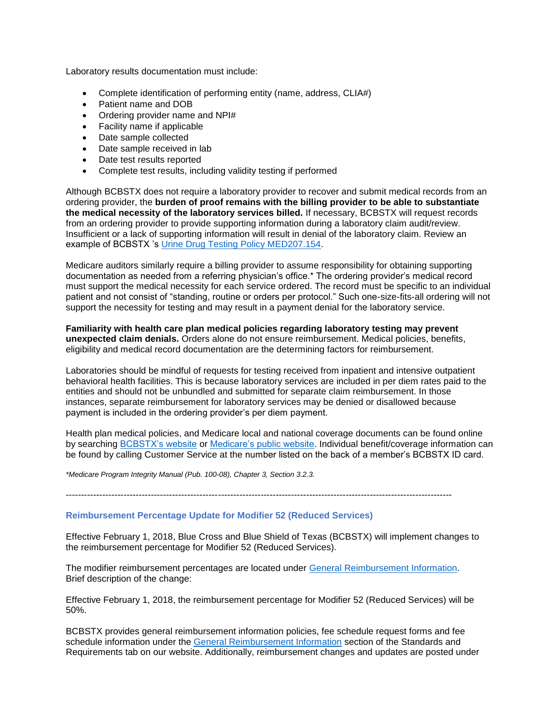Laboratory results documentation must include:

- Complete identification of performing entity (name, address, CLIA#)
- Patient name and DOB
- Ordering provider name and NPI#
- Facility name if applicable
- Date sample collected
- Date sample received in lab
- Date test results reported
- Complete test results, including validity testing if performed

Although BCBSTX does not require a laboratory provider to recover and submit medical records from an ordering provider, the **burden of proof remains with the billing provider to be able to substantiate the medical necessity of the laboratory services billed.** If necessary, BCBSTX will request records from an ordering provider to provide supporting information during a laboratory claim audit/review. Insufficient or a lack of supporting information will result in denial of the laboratory claim. Review an example of BCBSTX 's [Urine Drug Testing Policy MED207.154.](http://www.medicalpolicy.hcsc.net/medicalpolicy/activePolicyPage?lid=j0s5sl7f&corpEntCd=TX1)

Medicare auditors similarly require a billing provider to assume responsibility for obtaining supporting documentation as needed from a referring physician's office.\* The ordering provider's medical record must support the medical necessity for each service ordered. The record must be specific to an individual patient and not consist of "standing, routine or orders per protocol." Such one-size-fits-all ordering will not support the necessity for testing and may result in a payment denial for the laboratory service.

**Familiarity with health care plan medical policies regarding laboratory testing may prevent unexpected claim denials.** Orders alone do not ensure reimbursement. Medical policies, benefits, eligibility and medical record documentation are the determining factors for reimbursement.

Laboratories should be mindful of requests for testing received from inpatient and intensive outpatient behavioral health facilities. This is because laboratory services are included in per diem rates paid to the entities and should not be unbundled and submitted for separate claim reimbursement. In those instances, separate reimbursement for laboratory services may be denied or disallowed because payment is included in the ordering provider's per diem payment.

Health plan medical policies, and Medicare local and national coverage documents can be found online by searching [BCBSTX's website](https://www.bcbstx.com/provider/) or [Medicare's public website.](https://www.cms.gov/) Individual benefit/coverage information can be found by calling Customer Service at the number listed on the back of a member's BCBSTX ID card.

*\*Medicare Program Integrity Manual (Pub. 100-08), Chapter 3, Section 3.2.3.*

-------------------------------------------------------------------------------------------------------------------------------

#### **Reimbursement Percentage Update for Modifier 52 (Reduced Services)**

Effective February 1, 2018, Blue Cross and Blue Shield of Texas (BCBSTX) will implement changes to the reimbursement percentage for Modifier 52 (Reduced Services).

The modifier reimbursement percentages are located under [General Reimbursement Information.](https://www.bcbstx.com/provider/gri/index.html) Brief description of the change:

Effective February 1, 2018, the reimbursement percentage for Modifier 52 (Reduced Services) will be 50%.

BCBSTX provides general reimbursement information policies, fee schedule request forms and fee schedule information under the [General Reimbursement Information](https://www.bcbstx.com/provider/gri/index.html) section of the Standards and Requirements tab on our website. Additionally, reimbursement changes and updates are posted under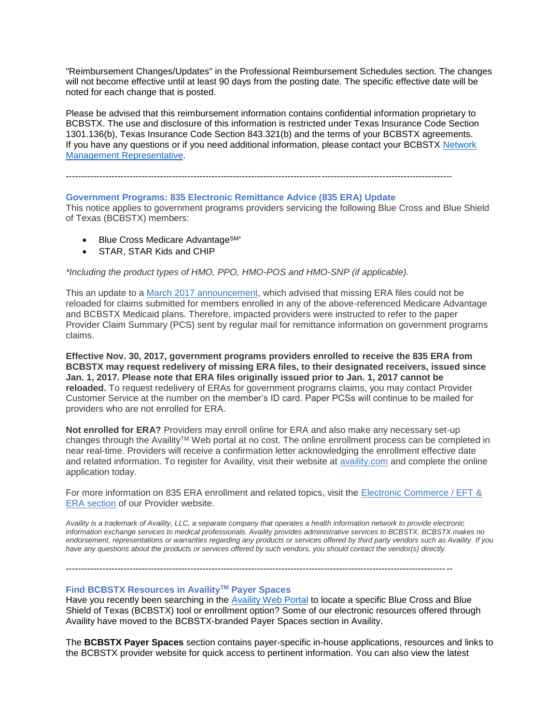"Reimbursement Changes/Updates" in the Professional Reimbursement Schedules section. The changes will not become effective until at least 90 days from the posting date. The specific effective date will be noted for each change that is posted.

Please be advised that this reimbursement information contains confidential information proprietary to BCBSTX. The use and disclosure of this information is restricted under Texas Insurance Code Section 1301.136(b), Texas Insurance Code Section 843.321(b) and the terms of your BCBSTX agreements. If you have any questions or if you need additional information, please contact your BCBSTX [Network](https://www.bcbstx.com/provider/contact_us.html#localnetwork)  [Management Representative.](https://www.bcbstx.com/provider/contact_us.html#localnetwork)

-------------------------------------------------------------------------------------------------------------------------------

#### **Government Programs: 835 Electronic Remittance Advice (835 ERA) Update**

This notice applies to government programs providers servicing the following Blue Cross and Blue Shield of Texas (BCBSTX) members:

- Blue Cross Medicare AdvantageSM\*
- STAR, STAR Kids and CHIP

*\*Including the product types of HMO, PPO, HMO-POS and HMO-SNP (if applicable).*

This an update to a [March 2017 announcement,](https://www.bcbstx.com/provider/news/2017_03_10.html) which advised that missing ERA files could not be reloaded for claims submitted for members enrolled in any of the above-referenced Medicare Advantage and BCBSTX Medicaid plans. Therefore, impacted providers were instructed to refer to the paper Provider Claim Summary (PCS) sent by regular mail for remittance information on government programs claims.

**Effective Nov. 30, 2017, government programs providers enrolled to receive the 835 ERA from BCBSTX may request redelivery of missing ERA files, to their designated receivers, issued since Jan. 1, 2017. Please note that ERA files originally issued prior to Jan. 1, 2017 cannot be reloaded.** To request redelivery of ERAs for government programs claims, you may contact Provider Customer Service at the number on the member's ID card. Paper PCSs will continue to be mailed for providers who are not enrolled for ERA.

**Not enrolled for ERA?** Providers may enroll online for ERA and also make any necessary set-up changes through the Availity™ Web portal at no cost. The online enrollment process can be completed in near real-time. Providers will receive a confirmation letter acknowledging the enrollment effective date and related information. To register for Availity, visit their website at [availity.com](http://www.availity.com/) and complete the online application today.

For more information on 835 ERA enrollment and related topics, visit the Electronic Commerce / EFT & ERA [section](https://www.bcbstx.com/provider/claims/era.html) of our Provider website.

*Availity is a trademark of Availity, LLC, a separate company that operates a health information network to provide electronic information exchange services to medical professionals. Availity provides administrative services to BCBSTX. BCBSTX makes no endorsement, representations or warranties regarding any products or services offered by third party vendors such as Availity. If you have any questions about the products or services offered by such vendors, you should contact the vendor(s) directly.*

-------------------------------------------------------------------------------------------------------------------------------

#### **Find BCBSTX Resources in AvailityTM Payer Spaces**

Have you recently been searching in the [Availity Web Portal](https://apps.availity.com/availity/web/public.elegant.login) to locate a specific Blue Cross and Blue Shield of Texas (BCBSTX) tool or enrollment option? Some of our electronic resources offered through Availity have moved to the BCBSTX-branded Payer Spaces section in Availity.

The **BCBSTX Payer Spaces** section contains payer-specific in-house applications, resources and links to the BCBSTX provider website for quick access to pertinent information. You can also view the latest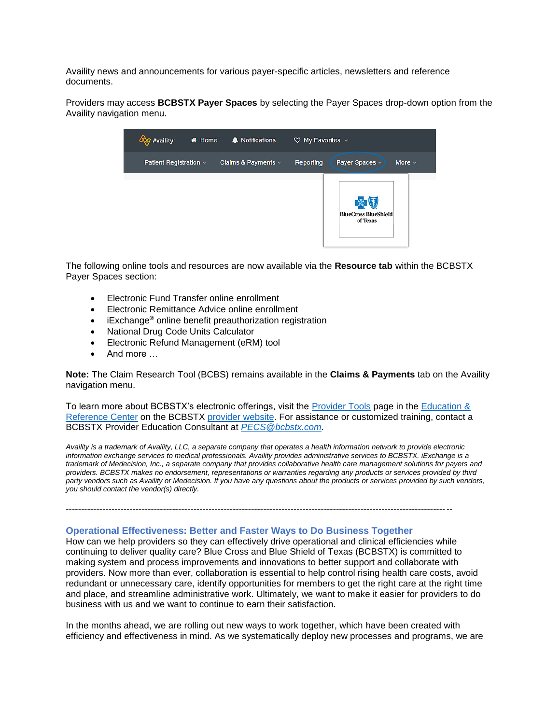Availity news and announcements for various payer-specific articles, newsletters and reference documents.

Providers may access **BCBSTX Payer Spaces** by selecting the Payer Spaces drop-down option from the Availity navigation menu.

| <b>Ry Availity</b>          | ← Home | A Notifications          | $\heartsuit$ My Favorites $\vee$ |                                         |
|-----------------------------|--------|--------------------------|----------------------------------|-----------------------------------------|
| Patient Registration $\vee$ |        | Claims & Payments $\vee$ | Reporting                        | Payer Spaces v<br>More $\vee$           |
|                             |        |                          |                                  | <b>BlueCross BlueShield</b><br>of Texas |

The following online tools and resources are now available via the **Resource tab** within the BCBSTX Payer Spaces section:

- Electronic Fund Transfer online enrollment
- Electronic Remittance Advice online enrollment
- iExchange**®** online benefit preauthorization registration
- National Drug Code Units Calculator
- Electronic Refund Management (eRM) tool
- And more …

**Note:** The Claim Research Tool (BCBS) remains available in the **Claims & Payments** tab on the Availity navigation menu.

To learn more about BCBSTX's electronic offerings, visit the [Provider Tools](https://www.bcbstx.com/provider/tools/index.html) page in the Education & [Reference Center](https://www.bcbstx.com/provider/education_reference.html) on the BCBSTX [provider website.](https://www.bcbstx.com/provider/) For assistance or customized training, contact a BCBSTX Provider Education Consultant at *[PECS@bcbstx.com.](mailto:PECS@bcbstx.com)*

*Availity is a trademark of Availity, LLC, a separate company that operates a health information network to provide electronic information exchange services to medical professionals. Availity provides administrative services to BCBSTX. iExchange is a trademark of Medecision, Inc., a separate company that provides collaborative health care management solutions for payers and providers. BCBSTX makes no endorsement, representations or warranties regarding any products or services provided by third party vendors such as Availity or Medecision. If you have any questions about the products or services provided by such vendors, you should contact the vendor(s) directly.*

# **Operational Effectiveness: Better and Faster Ways to Do Business Together**

-------------------------------------------------------------------------------------------------------------------------------

How can we help providers so they can effectively drive operational and clinical efficiencies while continuing to deliver quality care? Blue Cross and Blue Shield of Texas (BCBSTX) is committed to making system and process improvements and innovations to better support and collaborate with providers. Now more than ever, collaboration is essential to help control rising health care costs, avoid redundant or unnecessary care, identify opportunities for members to get the right care at the right time and place, and streamline administrative work. Ultimately, we want to make it easier for providers to do business with us and we want to continue to earn their satisfaction.

In the months ahead, we are rolling out new ways to work together, which have been created with efficiency and effectiveness in mind. As we systematically deploy new processes and programs, we are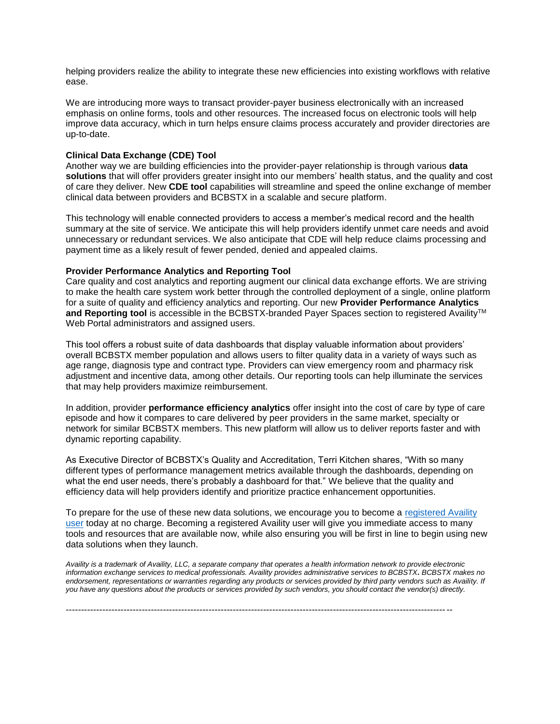helping providers realize the ability to integrate these new efficiencies into existing workflows with relative ease.

We are introducing more ways to transact provider-payer business electronically with an increased emphasis on online forms, tools and other resources. The increased focus on electronic tools will help improve data accuracy, which in turn helps ensure claims process accurately and provider directories are up-to-date.

#### **Clinical Data Exchange (CDE) Tool**

Another way we are building efficiencies into the provider-payer relationship is through various **data solutions** that will offer providers greater insight into our members' health status, and the quality and cost of care they deliver. New **CDE tool** capabilities will streamline and speed the online exchange of member clinical data between providers and BCBSTX in a scalable and secure platform.

This technology will enable connected providers to access a member's medical record and the health summary at the site of service. We anticipate this will help providers identify unmet care needs and avoid unnecessary or redundant services. We also anticipate that CDE will help reduce claims processing and payment time as a likely result of fewer pended, denied and appealed claims.

#### **Provider Performance Analytics and Reporting Tool**

Care quality and cost analytics and reporting augment our clinical data exchange efforts. We are striving to make the health care system work better through the controlled deployment of a single, online platform for a suite of quality and efficiency analytics and reporting. Our new **Provider Performance Analytics** and Reporting tool is accessible in the BCBSTX-branded Payer Spaces section to registered Availity<sup>™</sup> Web Portal administrators and assigned users.

This tool offers a robust suite of data dashboards that display valuable information about providers' overall BCBSTX member population and allows users to filter quality data in a variety of ways such as age range, diagnosis type and contract type. Providers can view emergency room and pharmacy risk adjustment and incentive data, among other details. Our reporting tools can help illuminate the services that may help providers maximize reimbursement.

In addition, provider **performance efficiency analytics** offer insight into the cost of care by type of care episode and how it compares to care delivered by peer providers in the same market, specialty or network for similar BCBSTX members. This new platform will allow us to deliver reports faster and with dynamic reporting capability.

As Executive Director of BCBSTX's Quality and Accreditation, Terri Kitchen shares, "With so many different types of performance management metrics available through the dashboards, depending on what the end user needs, there's probably a dashboard for that." We believe that the quality and efficiency data will help providers identify and prioritize practice enhancement opportunities.

To prepare for the use of these new data solutions, we encourage you to become a [registered Availity](http://www.availity.com/)  [user](http://www.availity.com/) today at no charge. Becoming a registered Availity user will give you immediate access to many tools and resources that are available now, while also ensuring you will be first in line to begin using new data solutions when they launch.

*Availity is a trademark of Availity, LLC, a separate company that operates a health information network to provide electronic information exchange services to medical professionals. Availity provides administrative services to BCBSTX. BCBSTX makes no*  endorsement, representations or warranties regarding any products or services provided by third party vendors such as Availity. If *you have any questions about the products or services provided by such vendors, you should contact the vendor(s) directly.*

-------------------------------------------------------------------------------------------------------------------------------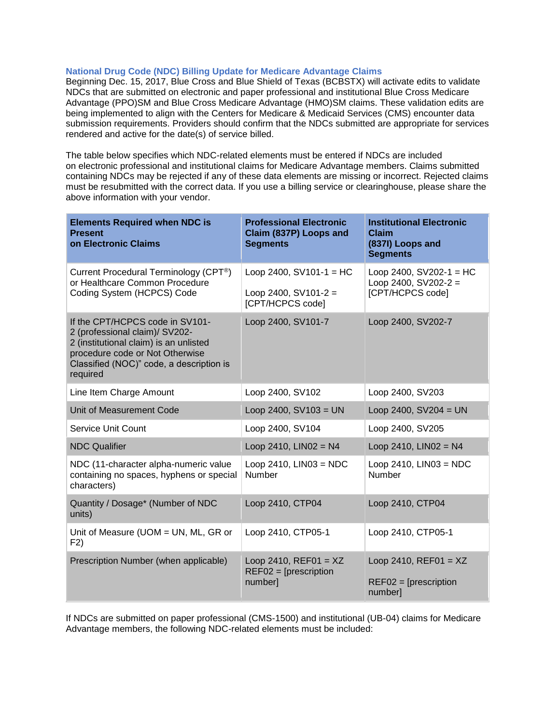#### **National Drug Code (NDC) Billing Update for Medicare Advantage Claims**

Beginning Dec. 15, 2017, Blue Cross and Blue Shield of Texas (BCBSTX) will activate edits to validate NDCs that are submitted on electronic and paper professional and institutional Blue Cross Medicare Advantage (PPO)SM and Blue Cross Medicare Advantage (HMO)SM claims. These validation edits are being implemented to align with the Centers for Medicare & Medicaid Services (CMS) encounter data submission requirements. Providers should confirm that the NDCs submitted are appropriate for services rendered and active for the date(s) of service billed.

The table below specifies which NDC-related elements must be entered if NDCs are included on electronic professional and institutional claims for Medicare Advantage members. Claims submitted containing NDCs may be rejected if any of these data elements are missing or incorrect. Rejected claims must be resubmitted with the correct data. If you use a billing service or clearinghouse, please share the above information with your vendor.

| <b>Elements Required when NDC is</b><br><b>Present</b><br>on Electronic Claims                                                                                                                         | <b>Professional Electronic</b><br>Claim (837P) Loops and<br><b>Segments</b> | <b>Institutional Electronic</b><br>Claim<br>(837I) Loops and<br><b>Segments</b> |
|--------------------------------------------------------------------------------------------------------------------------------------------------------------------------------------------------------|-----------------------------------------------------------------------------|---------------------------------------------------------------------------------|
| Current Procedural Terminology (CPT®)<br>or Healthcare Common Procedure<br>Coding System (HCPCS) Code                                                                                                  | Loop 2400, $SV101-1 = HC$<br>Loop 2400, $SV101-2 =$<br>[CPT/HCPCS code]     | Loop 2400, $SV202-1 = HC$<br>Loop 2400, $SV202-2 =$<br>[CPT/HCPCS code]         |
| If the CPT/HCPCS code in SV101-<br>2 (professional claim)/ SV202-<br>2 (institutional claim) is an unlisted<br>procedure code or Not Otherwise<br>Classified (NOC)" code, a description is<br>required | Loop 2400, SV101-7                                                          | Loop 2400, SV202-7                                                              |
| Line Item Charge Amount                                                                                                                                                                                | Loop 2400, SV102                                                            | Loop 2400, SV203                                                                |
| Unit of Measurement Code                                                                                                                                                                               | Loop 2400, $SV103 = UN$                                                     | Loop 2400, $SV204 = UN$                                                         |
| <b>Service Unit Count</b>                                                                                                                                                                              | Loop 2400, SV104                                                            | Loop 2400, SV205                                                                |
| <b>NDC Qualifier</b>                                                                                                                                                                                   | Loop 2410, $LINO2 = N4$                                                     | Loop 2410, $LINO2 = N4$                                                         |
| NDC (11-character alpha-numeric value<br>containing no spaces, hyphens or special<br>characters)                                                                                                       | Loop 2410, $LINO3 = NDC$<br>Number                                          | Loop 2410, $LINO3 = NDC$<br>Number                                              |
| Quantity / Dosage* (Number of NDC<br>units)                                                                                                                                                            | Loop 2410, CTP04                                                            | Loop 2410, CTP04                                                                |
| Unit of Measure (UOM = UN, ML, GR or<br>F2)                                                                                                                                                            | Loop 2410, CTP05-1                                                          | Loop 2410, CTP05-1                                                              |
| Prescription Number (when applicable)                                                                                                                                                                  | Loop 2410, $REF01 = XZ$<br>$REF02 = [prescription]$<br>number]              | Loop 2410, $REF01 = XZ$<br>$REF02 = [prescription]$<br>number]                  |

If NDCs are submitted on paper professional (CMS-1500) and institutional (UB-04) claims for Medicare Advantage members, the following NDC-related elements must be included: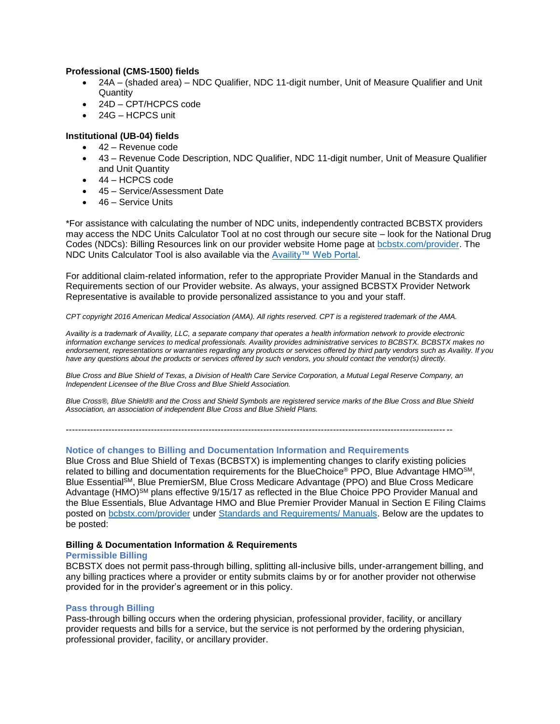#### **Professional (CMS-1500) fields**

- 24A (shaded area) NDC Qualifier, NDC 11-digit number, Unit of Measure Qualifier and Unit **Quantity**
- 24D CPT/HCPCS code
- 24G HCPCS unit

### **Institutional (UB-04) fields**

- 42 Revenue code
- 43 Revenue Code Description, NDC Qualifier, NDC 11-digit number, Unit of Measure Qualifier and Unit Quantity
- 44 HCPCS code
- 45 Service/Assessment Date
- 46 Service Units

\*For assistance with calculating the number of NDC units, independently contracted BCBSTX providers may access the NDC Units Calculator Tool at no cost through our secure site – look for the National Drug Codes (NDCs): Billing Resources link on our provider website Home page at [bcbstx.com/provider.](https://www.bcbstx.com/provider) The NDC Units Calculator Tool is also available via the [Availity™ Web Portal.](http://www.availity.com/)

For additional claim-related information, refer to the appropriate Provider Manual in the Standards and Requirements section of our Provider website. As always, your assigned BCBSTX Provider Network Representative is available to provide personalized assistance to you and your staff.

#### *CPT copyright 2016 American Medical Association (AMA). All rights reserved. CPT is a registered trademark of the AMA.*

*Availity is a trademark of Availity, LLC, a separate company that operates a health information network to provide electronic information exchange services to medical professionals. Availity provides administrative services to BCBSTX. BCBSTX makes no endorsement, representations or warranties regarding any products or services offered by third party vendors such as Availity. If you have any questions about the products or services offered by such vendors, you should contact the vendor(s) directly.*

*Blue Cross and Blue Shield of Texas, a Division of Health Care Service Corporation, a Mutual Legal Reserve Company, an Independent Licensee of the Blue Cross and Blue Shield Association.*

*Blue Cross®, Blue Shield® and the Cross and Shield Symbols are registered service marks of the Blue Cross and Blue Shield Association, an association of independent Blue Cross and Blue Shield Plans.*

-------------------------------------------------------------------------------------------------------------------------------

#### **Notice of changes to Billing and Documentation Information and Requirements**

Blue Cross and Blue Shield of Texas (BCBSTX) is implementing changes to clarify existing policies related to billing and documentation requirements for the BlueChoice® PPO, Blue Advantage HMO<sup>SM</sup>, Blue Essential<sup>sM</sup>, Blue PremierSM, Blue Cross Medicare Advantage (PPO) and Blue Cross Medicare Advantage (HMO)<sup>SM</sup> plans effective 9/15/17 as reflected in the Blue Choice PPO Provider Manual and the Blue Essentials, Blue Advantage HMO and Blue Premier Provider Manual in Section E Filing Claims posted on [bcbstx.com/provider](https://www.bcbstx.com/provider/) under [Standards and Requirements/ Manuals.](https://www.bcbstx.com/provider/gri/index.html) Below are the updates to be posted:

#### **Billing & Documentation Information & Requirements**

#### **Permissible Billing**

BCBSTX does not permit pass-through billing, splitting all-inclusive bills, under-arrangement billing, and any billing practices where a provider or entity submits claims by or for another provider not otherwise provided for in the provider's agreement or in this policy.

#### **Pass through Billing**

Pass-through billing occurs when the ordering physician, professional provider, facility, or ancillary provider requests and bills for a service, but the service is not performed by the ordering physician, professional provider, facility, or ancillary provider.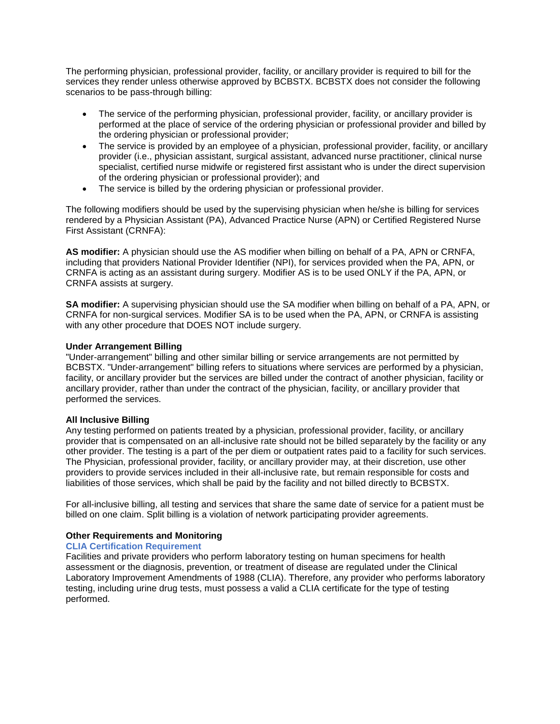The performing physician, professional provider, facility, or ancillary provider is required to bill for the services they render unless otherwise approved by BCBSTX. BCBSTX does not consider the following scenarios to be pass-through billing:

- The service of the performing physician, professional provider, facility, or ancillary provider is performed at the place of service of the ordering physician or professional provider and billed by the ordering physician or professional provider;
- The service is provided by an employee of a physician, professional provider, facility, or ancillary provider (i.e., physician assistant, surgical assistant, advanced nurse practitioner, clinical nurse specialist, certified nurse midwife or registered first assistant who is under the direct supervision of the ordering physician or professional provider); and
- The service is billed by the ordering physician or professional provider.

The following modifiers should be used by the supervising physician when he/she is billing for services rendered by a Physician Assistant (PA), Advanced Practice Nurse (APN) or Certified Registered Nurse First Assistant (CRNFA):

**AS modifier:** A physician should use the AS modifier when billing on behalf of a PA, APN or CRNFA, including that providers National Provider Identifier (NPI), for services provided when the PA, APN, or CRNFA is acting as an assistant during surgery. Modifier AS is to be used ONLY if the PA, APN, or CRNFA assists at surgery.

**SA modifier:** A supervising physician should use the SA modifier when billing on behalf of a PA, APN, or CRNFA for non-surgical services. Modifier SA is to be used when the PA, APN, or CRNFA is assisting with any other procedure that DOES NOT include surgery.

#### **Under Arrangement Billing**

"Under-arrangement" billing and other similar billing or service arrangements are not permitted by BCBSTX. "Under-arrangement" billing refers to situations where services are performed by a physician, facility, or ancillary provider but the services are billed under the contract of another physician, facility or ancillary provider, rather than under the contract of the physician, facility, or ancillary provider that performed the services.

#### **All Inclusive Billing**

Any testing performed on patients treated by a physician, professional provider, facility, or ancillary provider that is compensated on an all-inclusive rate should not be billed separately by the facility or any other provider. The testing is a part of the per diem or outpatient rates paid to a facility for such services. The Physician, professional provider, facility, or ancillary provider may, at their discretion, use other providers to provide services included in their all-inclusive rate, but remain responsible for costs and liabilities of those services, which shall be paid by the facility and not billed directly to BCBSTX.

For all-inclusive billing, all testing and services that share the same date of service for a patient must be billed on one claim. Split billing is a violation of network participating provider agreements.

### **Other Requirements and Monitoring**

### **CLIA Certification Requirement**

Facilities and private providers who perform laboratory testing on human specimens for health assessment or the diagnosis, prevention, or treatment of disease are regulated under the Clinical Laboratory Improvement Amendments of 1988 (CLIA). Therefore, any provider who performs laboratory testing, including urine drug tests, must possess a valid a CLIA certificate for the type of testing performed.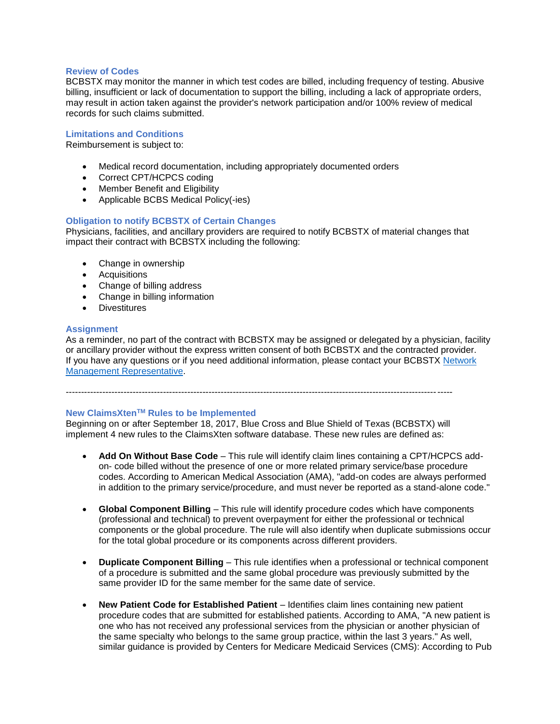#### **Review of Codes**

BCBSTX may monitor the manner in which test codes are billed, including frequency of testing. Abusive billing, insufficient or lack of documentation to support the billing, including a lack of appropriate orders, may result in action taken against the provider's network participation and/or 100% review of medical records for such claims submitted.

#### **Limitations and Conditions**

Reimbursement is subject to:

- Medical record documentation, including appropriately documented orders
- Correct CPT/HCPCS coding
- Member Benefit and Eligibility
- Applicable BCBS Medical Policy(-ies)

#### **Obligation to notify BCBSTX of Certain Changes**

Physicians, facilities, and ancillary providers are required to notify BCBSTX of material changes that impact their contract with BCBSTX including the following:

- Change in ownership
- Acquisitions
- Change of billing address
- Change in billing information
- Divestitures

#### **Assignment**

As a reminder, no part of the contract with BCBSTX may be assigned or delegated by a physician, facility or ancillary provider without the express written consent of both BCBSTX and the contracted provider. If you have any questions or if you need additional information, please contact your BCBSTX [Network](https://www.bcbstx.com/provider/contact_us.html)  [Management Representative.](https://www.bcbstx.com/provider/contact_us.html)

-------------------------------------------------------------------------------------------------------------------------------

#### **New ClaimsXtenTM Rules to be Implemented**

Beginning on or after September 18, 2017, Blue Cross and Blue Shield of Texas (BCBSTX) will implement 4 new rules to the ClaimsXten software database. These new rules are defined as:

- **Add On Without Base Code** This rule will identify claim lines containing a CPT/HCPCS addon- code billed without the presence of one or more related primary service/base procedure codes. According to American Medical Association (AMA), "add-on codes are always performed in addition to the primary service/procedure, and must never be reported as a stand-alone code."
- **Global Component Billing** This rule will identify procedure codes which have components (professional and technical) to prevent overpayment for either the professional or technical components or the global procedure. The rule will also identify when duplicate submissions occur for the total global procedure or its components across different providers.
- **Duplicate Component Billing** This rule identifies when a professional or technical component of a procedure is submitted and the same global procedure was previously submitted by the same provider ID for the same member for the same date of service.
- **New Patient Code for Established Patient** Identifies claim lines containing new patient procedure codes that are submitted for established patients. According to AMA, "A new patient is one who has not received any professional services from the physician or another physician of the same specialty who belongs to the same group practice, within the last 3 years." As well, similar guidance is provided by Centers for Medicare Medicaid Services (CMS): According to Pub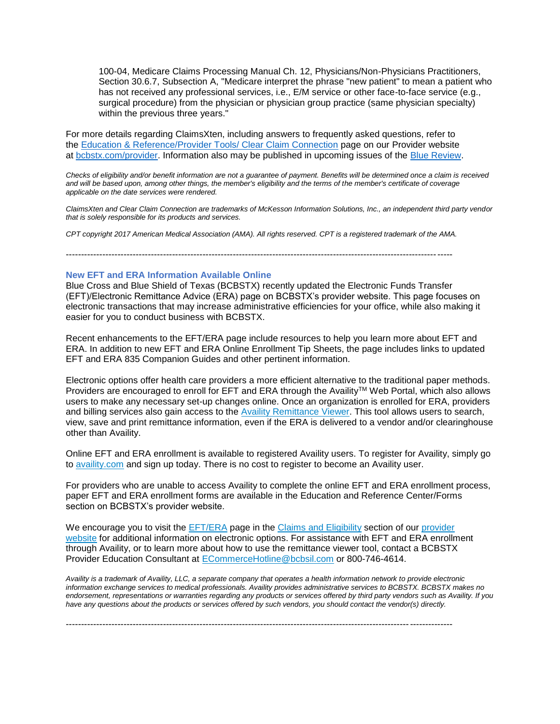100-04, Medicare Claims Processing Manual Ch. 12, Physicians/Non-Physicians Practitioners, Section 30.6.7, Subsection A, "Medicare interpret the phrase "new patient" to mean a patient who has not received any professional services, i.e., E/M service or other face-to-face service (e.g., surgical procedure) from the physician or physician group practice (same physician specialty) within the previous three years."

For more details regarding ClaimsXten, including answers to frequently asked questions, refer to the [Education & Reference/Provider Tools/ Clear Claim Connection](https://www.bcbstx.com/provider/tools/clear_claim_connection.html) page on our Provider website at [bcbstx.com/provider.](https://www.bcbstx.com/provider/index.html) Information also may be published in upcoming issues of the [Blue Review.](https://www.bcbstx.com/provider/news/bluereview.html)

*Checks of eligibility and/or benefit information are not a guarantee of payment. Benefits will be determined once a claim is received and will be based upon, among other things, the member's eligibility and the terms of the member's certificate of coverage applicable on the date services were rendered.*

*ClaimsXten and Clear Claim Connection are trademarks of McKesson Information Solutions, Inc., an independent third party vendor that is solely responsible for its products and services.*

*CPT copyright 2017 American Medical Association (AMA). All rights reserved. CPT is a registered trademark of the AMA.*

-------------------------------------------------------------------------------------------------------------------------------

#### **New EFT and ERA Information Available Online**

Blue Cross and Blue Shield of Texas (BCBSTX) recently updated the Electronic Funds Transfer (EFT)/Electronic Remittance Advice (ERA) page on BCBSTX's provider website. This page focuses on electronic transactions that may increase administrative efficiencies for your office, while also making it easier for you to conduct business with BCBSTX.

Recent enhancements to the EFT/ERA page include resources to help you learn more about EFT and ERA. In addition to new EFT and ERA Online Enrollment Tip Sheets, the page includes links to updated EFT and ERA 835 Companion Guides and other pertinent information.

Electronic options offer health care providers a more efficient alternative to the traditional paper methods. Providers are encouraged to enroll for EFT and ERA through the Availity™ Web Portal, which also allows users to make any necessary set-up changes online. Once an organization is enrolled for ERA, providers and billing services also gain access to the Availity [Remittance](https://www.bcbstx.com/provider/tools/remittance_viewer_webinars.html) Viewer. This tool allows users to search, view, save and print remittance information, even if the ERA is delivered to a vendor and/or clearinghouse other than Availity.

Online EFT and ERA enrollment is available to registered Availity users. To register for Availity, simply go to [availity.com](https://www.availity.com/) and sign up today. There is no cost to register to become an Availity user.

For providers who are unable to access Availity to complete the online EFT and ERA enrollment process, paper EFT and ERA enrollment forms are available in the Education and Reference Center/Forms section on BCBSTX's provider website.

We encourage you to visit the [EFT/ERA](https://www.bcbstx.com/provider/claims/era.html) page in the Claims and [Eligibility](https://www.bcbstx.com/provider/claims/era.html) section of our [provider](https://www.bcbstx.com/provider/) [website](https://www.bcbstx.com/provider/) for additional information on electronic options. For assistance with EFT and ERA enrollment through Availity, or to learn more about how to use the remittance viewer tool, contact a BCBSTX Provider Education Consultant at [ECommerceHotline@bcbsil.com](https://www.bcbsil.com/provider/claims/electronic_commerce.html) or 800-746-4614.

*Availity is a trademark of Availity, LLC, a separate company that operates a health information network to provide electronic information exchange services to medical professionals. Availity provides administrative services to BCBSTX. BCBSTX makes no endorsement, representations or warranties regarding any products or services offered by third party vendors such as Availity. If you have any questions about the products or services offered by such vendors, you should contact the vendor(s) directly.*

-------------------------------------------------------------------------------------------------------------------------------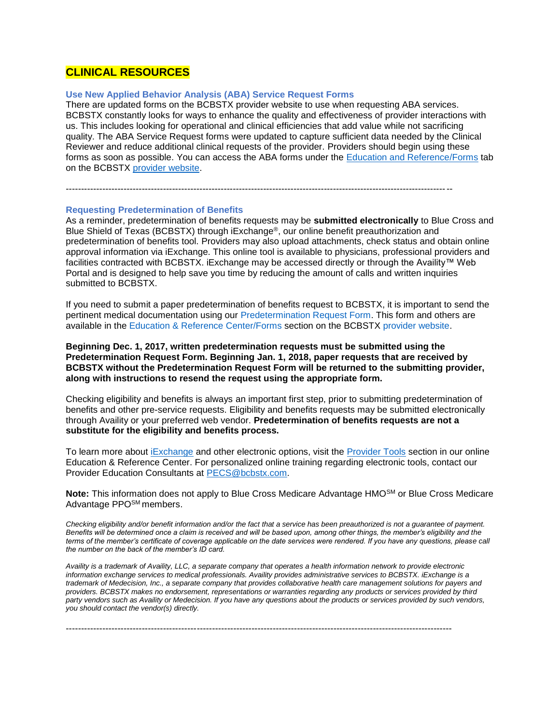### **CLINICAL RESOURCES**

#### **Use New Applied Behavior Analysis (ABA) Service Request Forms**

There are updated forms on the BCBSTX provider website to use when requesting ABA services. BCBSTX constantly looks for ways to enhance the quality and effectiveness of provider interactions with us. This includes looking for operational and clinical efficiencies that add value while not sacrificing quality. The ABA Service Request forms were updated to capture sufficient data needed by the Clinical Reviewer and reduce additional clinical requests of the provider. Providers should begin using these forms as soon as possible. You can access the ABA forms under the [Education and Reference/Forms](https://www.bcbstx.com/provider/forms/index.html) tab on the BCBSTX [provider website.](https://www.bcbstx.com/provider/index.html)

-------------------------------------------------------------------------------------------------------------------------------

# **Requesting Predetermination of Benefits**

As a reminder, predetermination of benefits requests may be **submitted electronically** to Blue Cross and Blue Shield of Texas (BCBSTX) through iExchange®, our online benefit preauthorization and predetermination of benefits tool. Providers may also upload attachments, check status and obtain online approval information via iExchange. This online tool is available to physicians, professional providers and facilities contracted with BCBSTX. iExchange may be accessed directly or through the Availity™ Web Portal and is designed to help save you time by reducing the amount of calls and written inquiries submitted to BCBSTX.

If you need to submit a paper predetermination of benefits request to BCBSTX, it is important to send the pertinent medical documentation using our [Predetermination Request Form.](https://www.bcbstx.com/provider/pdf/predeterminationform.pdf) This form and others are available in the [Education & Reference Center/Forms](https://www.bcbstx.com/provider/forms/index.html) section on the BCBSTX [provider website.](https://www.bcbstx.com/provider/)

**Beginning Dec. 1, 2017, written predetermination requests must be submitted using the Predetermination Request Form. Beginning Jan. 1, 2018, paper requests that are received by BCBSTX without the Predetermination Request Form will be returned to the submitting provider, along with instructions to resend the request using the appropriate form.** 

Checking eligibility and benefits is always an important first step, prior to submitting predetermination of benefits and other pre-service requests. Eligibility and benefits requests may be submitted electronically through Availity or your preferred web vendor. **Predetermination of benefits requests are not a substitute for the eligibility and benefits process.**

To learn more about *iExchange* and other electronic options, visit the **Provider Tools section in our online** Education & Reference Center. For personalized online training regarding electronic tools, contact our Provider Education Consultants at [PECS@bcbstx.com.](mailto:PECS@bcbstx.com)

**Note:** This information does not apply to Blue Cross Medicare Advantage HMOSM or Blue Cross Medicare Advantage PPOSM members.

*Checking eligibility and/or benefit information and/or the fact that a service has been preauthorized is not a guarantee of payment. Benefits will be determined once a claim is received and will be based upon, among other things, the member's eligibility and the terms of the member's certificate of coverage applicable on the date services were rendered. If you have any questions, please call the number on the back of the member's ID card.*

*Availity is a trademark of Availity, LLC, a separate company that operates a health information network to provide electronic information exchange services to medical professionals. Availity provides administrative services to BCBSTX. iExchange is a trademark of Medecision, Inc., a separate company that provides collaborative health care management solutions for payers and providers. BCBSTX makes no endorsement, representations or warranties regarding any products or services provided by third party vendors such as Availity or Medecision. If you have any questions about the products or services provided by such vendors, you should contact the vendor(s) directly.*

-------------------------------------------------------------------------------------------------------------------------------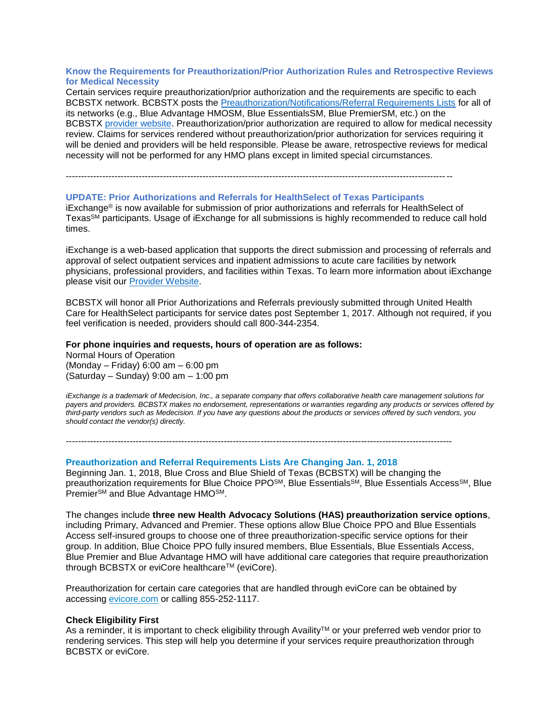#### **Know the Requirements for Preauthorization/Prior Authorization Rules and Retrospective Reviews for Medical Necessity**

Certain services require preauthorization/prior authorization and the requirements are specific to each BCBSTX network. BCBSTX posts the [Preauthorization/Notifications/Referral Requirements Lists](https://www.bcbstx.com/provider/clinical) for all of its networks (e.g., Blue Advantage HMOSM, Blue EssentialsSM, Blue PremierSM, etc.) on the BCBSTX [provider website.](https://www.bcbstx.com/provider/) Preauthorization/prior authorization are required to allow for medical necessity review. Claims for services rendered without preauthorization/prior authorization for services requiring it will be denied and providers will be held responsible. Please be aware, retrospective reviews for medical necessity will not be performed for any HMO plans except in limited special circumstances.

-------------------------------------------------------------------------------------------------------------------------------

#### **UPDATE: Prior Authorizations and Referrals for HealthSelect of Texas Participants**

iExchange® is now available for submission of prior authorizations and referrals for HealthSelect of TexasSM participants. Usage of iExchange for all submissions is highly recommended to reduce call hold times.

iExchange is a web-based application that supports the direct submission and processing of referrals and approval of select outpatient services and inpatient admissions to acute care facilities by network physicians, professional providers, and facilities within Texas. To learn more information about iExchange please visit our [Provider Website.](https://www.bcbstx.com/provider/tools/iexchange_index.html)

BCBSTX will honor all Prior Authorizations and Referrals previously submitted through United Health Care for HealthSelect participants for service dates post September 1, 2017. Although not required, if you feel verification is needed, providers should call 800-344-2354.

#### **For phone inquiries and requests, hours of operation are as follows:**

Normal Hours of Operation (Monday – Friday) 6:00 am – 6:00 pm (Saturday – Sunday) 9:00 am – 1:00 pm

*iExchange is a trademark of Medecision, Inc., a separate company that offers collaborative health care management solutions for payers and providers. BCBSTX makes no endorsement, representations or warranties regarding any products or services offered by third-party vendors such as Medecision. If you have any questions about the products or services offered by such vendors, you should contact the vendor(s) directly.*

-------------------------------------------------------------------------------------------------------------------------------

#### **Preauthorization and Referral Requirements Lists Are Changing Jan. 1, 2018**

Beginning Jan. 1, 2018, Blue Cross and Blue Shield of Texas (BCBSTX) will be changing the preauthorization requirements for Blue Choice PPO<sup>SM</sup>, Blue Essentials<sup>SM</sup>, Blue Essentials Access<sup>SM</sup>, Blue Premier<sup>SM</sup> and Blue Advantage HMO<sup>SM</sup>.

The changes include **three new Health Advocacy Solutions (HAS) preauthorization service options**, including Primary, Advanced and Premier. These options allow Blue Choice PPO and Blue Essentials Access self-insured groups to choose one of three preauthorization-specific service options for their group. In addition, Blue Choice PPO fully insured members, Blue Essentials, Blue Essentials Access, Blue Premier and Blue Advantage HMO will have additional care categories that require preauthorization through BCBSTX or eviCore healthcare™ (eviCore).

Preauthorization for certain care categories that are handled through eviCore can be obtained by accessing [evicore.com](https://www.evicore.com/) or calling 855-252-1117.

#### **Check Eligibility First**

As a reminder, it is important to check eligibility through Availity™ or your preferred web vendor prior to rendering services. This step will help you determine if your services require preauthorization through BCBSTX or eviCore.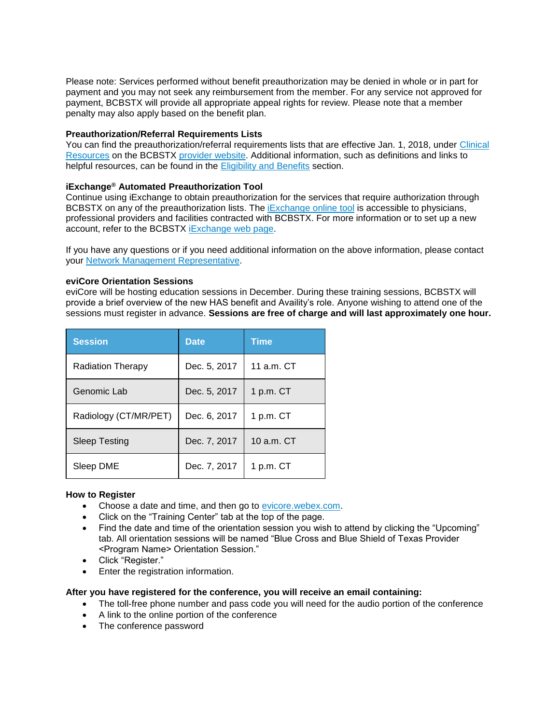Please note: Services performed without benefit preauthorization may be denied in whole or in part for payment and you may not seek any reimbursement from the member. For any service not approved for payment, BCBSTX will provide all appropriate appeal rights for review. Please note that a member penalty may also apply based on the benefit plan.

#### **Preauthorization/Referral Requirements Lists**

You can find the preauthorization/referral requirements lists that are effective Jan. 1, 2018, under [Clinical](https://www.bcbstx.com/provider/clinical/index.html) [Resources](https://www.bcbstx.com/provider/clinical/index.html) on the BCBSTX [provider](https://www.bcbstx.com/provider/) website. Additional information, such as definitions and links to helpful resources, can be found in the [Eligibility](http://www.pages02.net/hcscnosuppression/bluereview_october_2017/LPT.url?kn=1046856&vs=NjMwYWRmMDktMmU5MS00ZmYxLTk3YmQtOWJiYjg5MWJjODUzOzsS1) and Benefits section.

#### **iExchange® Automated Preauthorization Tool**

Continue using iExchange to obtain preauthorization for the services that require authorization through BCBSTX on any of the preauthorization lists. The *[iExchange](http://www.pages02.net/hcscnosuppression/bluereview_october_2017/LPT.url?kn=1046857&vs=NjMwYWRmMDktMmU5MS00ZmYxLTk3YmQtOWJiYjg5MWJjODUzOzsS1) online tool* is accessible to physicians, professional providers and facilities contracted with BCBSTX. For more information or to set up a new account, refer to the BCBSTX [iExchange](http://www.pages02.net/hcscnosuppression/bluereview_october_2017/LPT.url?kn=1046858&vs=NjMwYWRmMDktMmU5MS00ZmYxLTk3YmQtOWJiYjg5MWJjODUzOzsS1) web page.

If you have any questions or if you need additional information on the above information, please contact your Network Management [Representative.](https://www.bcbstx.com/provider/contact_us.html#localnetwork)

### **eviCore Orientation Sessions**

eviCore will be hosting education sessions in December. During these training sessions, BCBSTX will provide a brief overview of the new HAS benefit and Availity's role. Anyone wishing to attend one of the sessions must register in advance. **Sessions are free of charge and will last approximately one hour.**

| <b>Session</b>           | <b>Date</b>  | Time        |
|--------------------------|--------------|-------------|
| <b>Radiation Therapy</b> | Dec. 5, 2017 | 11 a.m. CT  |
| Genomic Lab              | Dec. 5, 2017 | 1 p.m. CT   |
| Radiology (CT/MR/PET)    | Dec. 6, 2017 | 1 p.m. $CT$ |
| <b>Sleep Testing</b>     | Dec. 7, 2017 | 10 a.m. CT  |
| Sleep DME                | Dec. 7, 2017 | 1 p.m. $CT$ |

#### **How to Register**

- Choose a date and time, and then go to [evicore.webex.com.](https://evicore.webex.com/mw3300/mywebex/default.do?siteurl=evicore)
- Click on the "Training Center" tab at the top of the page.
- Find the date and time of the orientation session you wish to attend by clicking the "Upcoming" tab. All orientation sessions will be named "Blue Cross and Blue Shield of Texas Provider <Program Name> Orientation Session."
- Click "Register."
- Enter the registration information.

#### **After you have registered for the conference, you will receive an email containing:**

- The toll-free phone number and pass code you will need for the audio portion of the conference
- A link to the online portion of the conference
- The conference password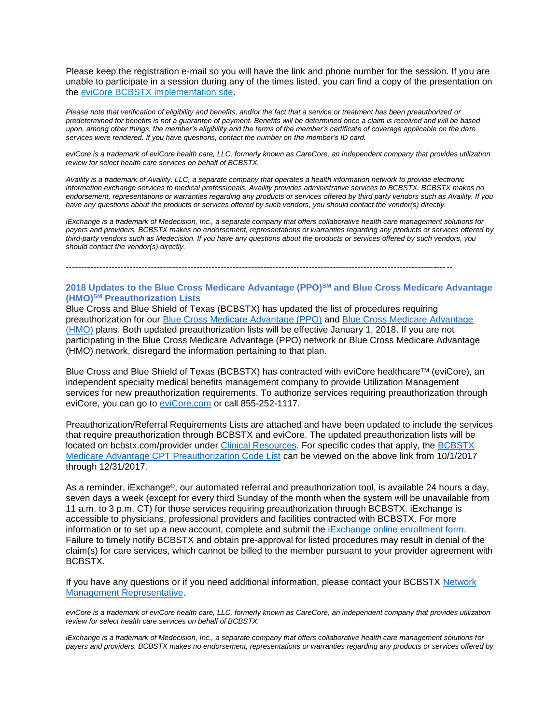Please keep the registration e-mail so you will have the link and phone number for the session. If you are unable to participate in a session during any of the times listed, you can find a copy of the presentation on the eviCore BCBSTX [implementation](https://www.evicore.com/healthplan/bcbstx_c) site.

*Please note that verification of eligibility and benefits, and/or the fact that a service or treatment has been preauthorized or predetermined for benefits is not a guarantee of payment. Benefits will be determined once a claim is received and will be based upon, among other things, the member's eligibility and the terms of the member's certificate of coverage applicable on the date services were rendered. If you have questions, contact the number on the member's ID card.*

*eviCore is a trademark of eviCore health care, LLC, formerly known as CareCore, an independent company that provides utilization review for select health care services on behalf of BCBSTX.*

*Availity is a trademark of Availity, LLC, a separate company that operates a health information network to provide electronic information exchange services to medical professionals. Availity provides administrative services to BCBSTX. BCBSTX makes no endorsement, representations or warranties regarding any products or services offered by third party vendors such as Availity. If you have any questions about the products or services offered by such vendors, you should contact the vendor(s) directly.*

*iExchange is a trademark of Medecision, Inc., a separate company that offers collaborative health care management solutions for payers and providers. BCBSTX makes no endorsement, representations or warranties regarding any products or services offered by third-party vendors such as Medecision. If you have any questions about the products or services offered by such vendors, you should contact the vendor(s) directly.*

-------------------------------------------------------------------------------------------------------------------------------

#### **2018 Updates to the Blue Cross Medicare Advantage (PPO)SM and Blue Cross Medicare Advantage (HMO)SM Preauthorization Lists**

Blue Cross and Blue Shield of Texas (BCBSTX) has updated the list of procedures requiring preauthorization for our [Blue Cross Medicare Advantage \(PPO\)](https://www.bcbstx.com/provider/pdf/ma-preauthlist-01012018.pdf) and [Blue Cross Medicare Advantage](https://www.bcbstx.com/provider/pdf/ma-preauthlist-01012018.pdf)  [\(HMO\)](https://www.bcbstx.com/provider/pdf/ma-preauthlist-01012018.pdf) plans. Both updated preauthorization lists will be effective January 1, 2018. If you are not participating in the Blue Cross Medicare Advantage (PPO) network or Blue Cross Medicare Advantage (HMO) network, disregard the information pertaining to that plan.

Blue Cross and Blue Shield of Texas (BCBSTX) has contracted with eviCore healthcare™ (eviCore), an independent specialty medical benefits management company to provide Utilization Management services for new preauthorization requirements. To authorize services requiring preauthorization through eviCore, you can go to [eviCore.com](https://www.evicore.com/) or call 855-252-1117.

Preauthorization/Referral Requirements Lists are attached and have been updated to include the services that require preauthorization through BCBSTX and eviCore. The updated preauthorization lists will be located on bcbstx.com/provider under [Clinical Resources.](https://www.bcbstx.com/provider/clinical/index.html) For specific codes that apply, the [BCBSTX](https://www.bcbstx.com/provider/pdf/ma-preauth-cpt-list-01012018.pdf)  [Medicare Advantage CPT Preauthorization Code List](https://www.bcbstx.com/provider/pdf/ma-preauth-cpt-list-01012018.pdf) can be viewed on the above link from 10/1/2017 through 12/31/2017.

As a reminder, iExchange®, our automated referral and preauthorization tool, is available 24 hours a day, seven days a week (except for every third Sunday of the month when the system will be unavailable from 11 a.m. to 3 p.m. CT) for those services requiring preauthorization through BCBSTX. iExchange is accessible to physicians, professional providers and facilities contracted with BCBSTX. For more information or to set up a new account, complete and submit the [iExchange online enrollment form.](https://www.bcbstx.com/provider/tools/iexchange.html) Failure to timely notify BCBSTX and obtain pre-approval for listed procedures may result in denial of the claim(s) for care services, which cannot be billed to the member pursuant to your provider agreement with BCBSTX.

If you have any questions or if you need additional information, please contact your BCBSTX Network [Management Representative.](https://www.bcbstx.com/provider/contact_us.html#localnetwork)

*eviCore is a trademark of eviCore health care, LLC, formerly known as CareCore, an independent company that provides utilization review for select health care services on behalf of BCBSTX.*

*iExchange is a trademark of Medecision, Inc., a separate company that offers collaborative health care management solutions for payers and providers. BCBSTX makes no endorsement, representations or warranties regarding any products or services offered by*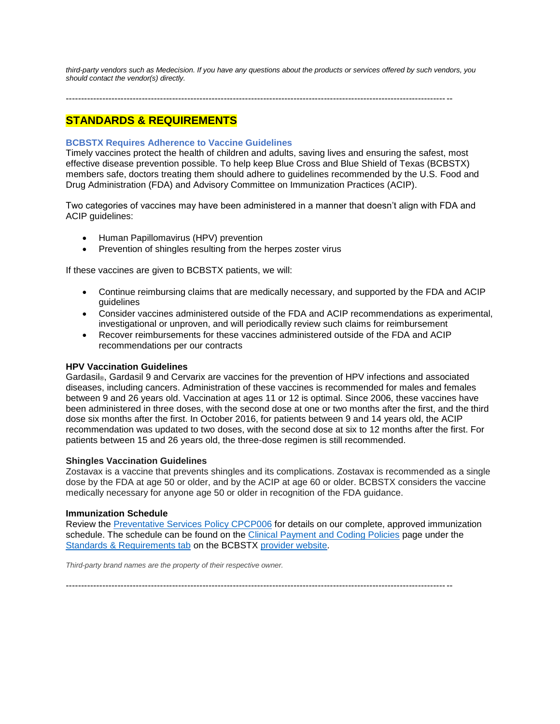*third-party vendors such as Medecision. If you have any questions about the products or services offered by such vendors, you should contact the vendor(s) directly.*

-------------------------------------------------------------------------------------------------------------------------------

### **STANDARDS & REQUIREMENTS**

#### **BCBSTX Requires Adherence to Vaccine Guidelines**

Timely vaccines protect the health of children and adults, saving lives and ensuring the safest, most effective disease prevention possible. To help keep Blue Cross and Blue Shield of Texas (BCBSTX) members safe, doctors treating them should adhere to guidelines recommended by the U.S. Food and Drug Administration (FDA) and Advisory Committee on Immunization Practices (ACIP).

Two categories of vaccines may have been administered in a manner that doesn't align with FDA and ACIP guidelines:

- Human Papillomavirus (HPV) prevention
- Prevention of shingles resulting from the herpes zoster virus

If these vaccines are given to BCBSTX patients, we will:

- Continue reimbursing claims that are medically necessary, and supported by the FDA and ACIP guidelines
- Consider vaccines administered outside of the FDA and ACIP recommendations as experimental, investigational or unproven, and will periodically review such claims for reimbursement
- Recover reimbursements for these vaccines administered outside of the FDA and ACIP recommendations per our contracts

#### **HPV Vaccination Guidelines**

Gardasil®, Gardasil 9 and Cervarix are vaccines for the prevention of HPV infections and associated diseases, including cancers. Administration of these vaccines is recommended for males and females between 9 and 26 years old. Vaccination at ages 11 or 12 is optimal. Since 2006, these vaccines have been administered in three doses, with the second dose at one or two months after the first, and the third dose six months after the first. In October 2016, for patients between 9 and 14 years old, the ACIP recommendation was updated to two doses, with the second dose at six to 12 months after the first. For patients between 15 and 26 years old, the three-dose regimen is still recommended.

#### **Shingles Vaccination Guidelines**

Zostavax is a vaccine that prevents shingles and its complications. Zostavax is recommended as a single dose by the FDA at age 50 or older, and by the ACIP at age 60 or older. BCBSTX considers the vaccine medically necessary for anyone age 50 or older in recognition of the FDA guidance.

#### **Immunization Schedule**

Review the [Preventative Services Policy CPCP006](https://www.bcbstx.com/provider/pdf/preventive-services-policy.pdf) for details on our complete, approved immunization schedule. The schedule can be found on the [Clinical Payment and Coding Policies](https://www.bcbstx.com/provider/standards/cpcp.html) page under the [Standards & Requirements tab](https://www.bcbstx.com/provider/standards/index.html) on the BCBSTX [provider website.](https://www.bcbstx.com/provider/)

*Third-party brand names are the property of their respective owner.*

-------------------------------------------------------------------------------------------------------------------------------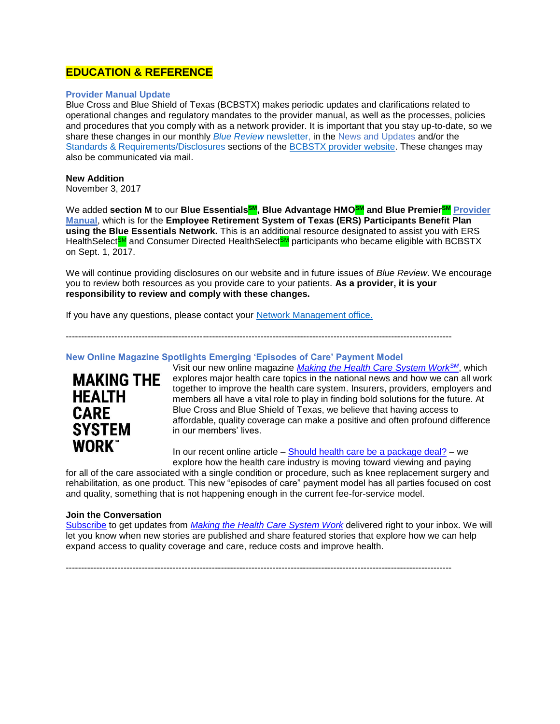### **EDUCATION & REFERENCE**

#### **Provider Manual Update**

Blue Cross and Blue Shield of Texas (BCBSTX) makes periodic updates and clarifications related to operational changes and regulatory mandates to the provider manual, as well as the processes, policies and procedures that you comply with as a network provider. It is important that you stay up-to-date, so we share these changes in our monthly *[Blue Review](https://www.bcbstx.com/provider/news/bluereview.html)* newsletter, in the [News and Updates](https://www.bcbstx.com/provider/news/index.html) and/or the [Standards & Requirements/Disclosures](https://www.bcbstx.com/provider/standards/disclosures.html) sections of the BCBSTX [provider website.](https://www.bcbstx.com/provider/) These changes may also be communicated via mail.

#### **New Addition**

November 3, 2017

We added **section M** to our **Blue EssentialsSM, Blue Advantage HMOSM and Blue PremierSM [Provider](https://www.bcbstx.com/provider/gri/index.html)  [Manual](https://www.bcbstx.com/provider/gri/index.html)**, which is for the **Employee Retirement System of Texas (ERS) Participants Benefit Plan using the Blue Essentials Network.** This is an additional resource designated to assist you with ERS HealthSelect<sup>SM</sup> and Consumer Directed HealthSelect<sup>SM</sup> participants who became eligible with BCBSTX on Sept. 1, 2017.

We will continue providing disclosures on our website and in future issues of *Blue Review*. We encourage you to review both resources as you provide care to your patients. **As a provider, it is your responsibility to review and comply with these changes.**

If you have any questions, please contact your [Network Management office.](https://www.bcbstx.com/provider/contact_us.html#localnetwork)

**New Online Magazine Spotlights Emerging 'Episodes of Care' Payment Model**

-------------------------------------------------------------------------------------------------------------------------------



Visit our new online magazine *Making [the Health Care System Work](https://www.makingthehealthcaresystemwork.com/)SM*, which explores major health care topics in the national news and how we can all work together to improve the health care system. Insurers, providers, employers and members all have a vital role to play in finding bold solutions for the future. At Blue Cross and Blue Shield of Texas, we believe that having access to affordable, quality coverage can make a positive and often profound difference in our members' lives.

In our recent online article – [Should health care be a package deal?](http://www.makingthehealthcaresystemwork.com/2017/09/20/should-health-care-be-a-package-deal/) – we explore how the health care industry is moving toward viewing and paying

for all of the care associated with a single condition or procedure, such as knee replacement surgery and rehabilitation, as one product*.* This new "episodes of care" payment model has all parties focused on cost and quality, something that is not happening enough in the current fee-for-service model.

#### **Join the Conversation**

[Subscribe](http://makingthehealthcaresystemwork.us16.list-manage.com/subscribe?u=0fd2ab72b1de47d9537f42c75&id=aa734cba1f) to get updates from *[Making the Health Care System Work](https://www.makingthehealthcaresystemwork.com/)* delivered right to your inbox. We will let you know when new stories are published and share featured stories that explore how we can help expand access to quality coverage and care, reduce costs and improve health.

-------------------------------------------------------------------------------------------------------------------------------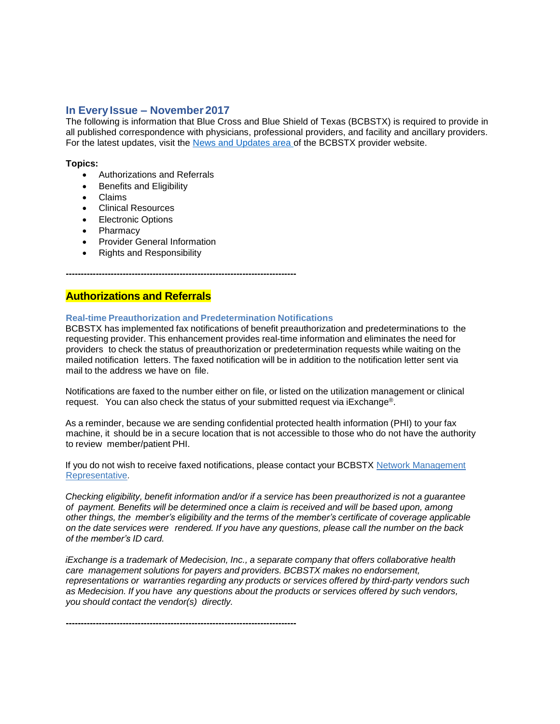#### **In EveryIssue – November 2017**

The following is information that Blue Cross and Blue Shield of Texas (BCBSTX) is required to provide in all published correspondence with physicians, professional providers, and facility and ancillary providers. For the latest updates, visit the [News and Updates area o](http://www.bcbstx.com/provider/news/index.html)f the BCBSTX provider website.

#### **Topics:**

- Authorizations and Referrals
- Benefits and Eligibility
- Claims
- Clinical Resources
- Electronic Options
- Pharmacy
- Provider General Information
- Rights and Responsibility

### **Authorizations and Referrals**

### **Real-time Preauthorization and Predetermination Notifications**

**-----------------------------------------------------------------------------**

BCBSTX has implemented fax notifications of benefit preauthorization and predeterminations to the requesting provider. This enhancement provides real-time information and eliminates the need for providers to check the status of preauthorization or predetermination requests while waiting on the mailed notification letters. The faxed notification will be in addition to the notification letter sent via mail to the address we have on file.

Notifications are faxed to the number either on file, or listed on the utilization management or clinical request. You can also check the status of your submitted request via iExchange®.

As a reminder, because we are sending confidential protected health information (PHI) to your fax machine, it should be in a secure location that is not accessible to those who do not have the authority to review member/patient PHI.

If you do not wish to receive faxed notifications, please contact your BCBSTX Network [Management](https://www.bcbstx.com/provider/contact_us.html) [Representative.](https://www.bcbstx.com/provider/contact_us.html)

*Checking eligibility, benefit information and/or if a service has been preauthorized is not a guarantee of payment. Benefits will be determined once a claim is received and will be based upon, among other things, the member's eligibility and the terms of the member's certificate of coverage applicable on the date services were rendered. If you have any questions, please call the number on the back of the member's ID card.*

*iExchange is a trademark of Medecision, Inc., a separate company that offers collaborative health care management solutions for payers and providers. BCBSTX makes no endorsement, representations or warranties regarding any products or services offered by third-party vendors such as Medecision. If you have any questions about the products or services offered by such vendors, you should contact the vendor(s) directly.*

**-----------------------------------------------------------------------------**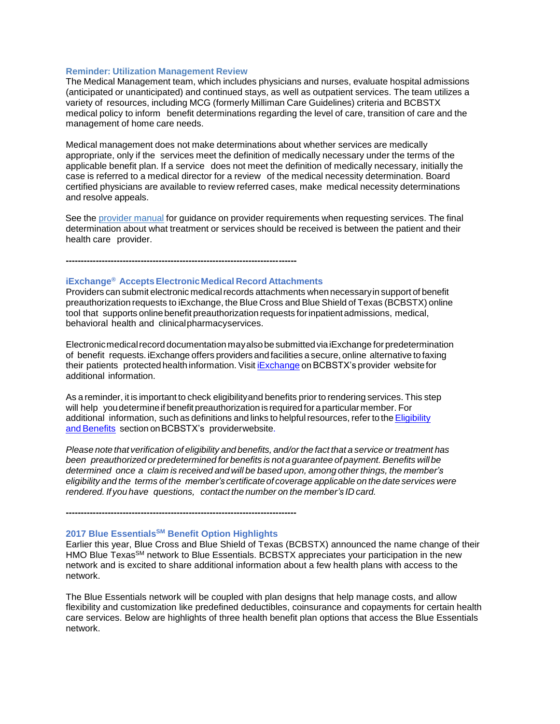#### **Reminder: Utilization Management Review**

The Medical Management team, which includes physicians and nurses, evaluate hospital admissions (anticipated or unanticipated) and continued stays, as well as outpatient services. The team utilizes a variety of resources, including MCG (formerly Milliman Care Guidelines) criteria and BCBSTX medical policy to inform benefit determinations regarding the level of care, transition of care and the management of home care needs.

Medical management does not make determinations about whether services are medically appropriate, only if the services meet the definition of medically necessary under the terms of the applicable benefit plan. If a service does not meet the definition of medically necessary, initially the case is referred to a medical director for a review of the medical necessity determination. Board certified physicians are available to review referred cases, make medical necessity determinations and resolve appeals.

See the [provider](https://www.bcbstx.com/provider/gri/index.html) manual [fo](https://www.bcbstx.com/provider/gri/index.html)r guidance on provider requirements when requesting services. The final determination about what treatment or services should be received is between the patient and their health care provider.

**-----------------------------------------------------------------------------**

#### **iExchange® AcceptsElectronicMedical Record Attachments**

Providers can submit electronic medical records attachments when necessary in support of benefit preauthorization requests to iExchange, the Blue Cross and Blue Shield of Texas (BCBSTX) online tool that supports online benefit preauthorization requests forinpatientadmissions, medical, behavioral health and clinicalpharmacyservices.

Electronic medical record documentation may also be submitted via iExchange for predetermination of benefit requests. iExchange offers providers and facilities a secure, online alternative to faxing their patients protected health information. Visit [iExchange](http://www.bcbstx.com/provider/tools/iexchange_index.html) on BCBSTX's provider website for additional information.

As a reminder, it is important to check eligibilityand benefits prior to rendering services. This step will help youdetermineif benefit preauthorization is requiredfor aparticular member. For additional information, such as definitions and links to helpful resources, refer to the Eligibility and [Benefits](http://www.bcbstx.com/provider/claims/eligibility_and_benefits.html) section [onB](http://www.bcbstx.com/provider)CBSTX's providerwebsite.

Please note that verification of eligibility and benefits, and/or the fact that a service or treatment has *been preauthorized or predetermined for benefits is not a guarantee of payment. Benefits will be determined once a claim is received and will be based upon, among other things, the member's eligibility and the terms of the member's certificate of coverage applicable on the date services were rendered. If you have questions, contact the number on the member's ID card.*

**-----------------------------------------------------------------------------**

### **2017 Blue EssentialsSM Benefit Option Highlights**

Earlier this year, Blue Cross and Blue Shield of Texas (BCBSTX) announced the name change of their HMO Blue Texas<sup>SM</sup> network to Blue Essentials. BCBSTX appreciates your participation in the new network and is excited to share additional information about a few health plans with access to the network.

The Blue Essentials network will be coupled with plan designs that help manage costs, and allow flexibility and customization like predefined deductibles, coinsurance and copayments for certain health care services. Below are highlights of three health benefit plan options that access the Blue Essentials network.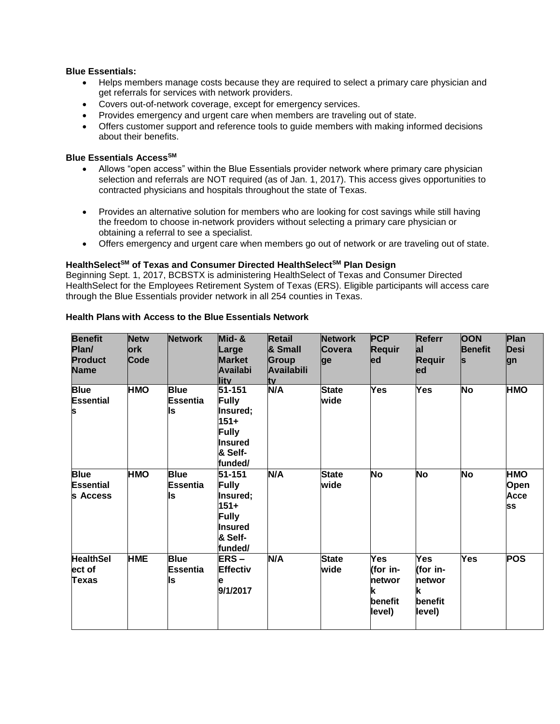### **Blue Essentials:**

- Helps members manage costs because they are required to select a primary care physician and get referrals for services with network providers.
- Covers out-of-network coverage, except for emergency services.
- Provides emergency and urgent care when members are traveling out of state.
- Offers customer support and reference tools to guide members with making informed decisions about their benefits.

#### **Blue Essentials AccessSM**

- Allows "open access" within the Blue Essentials provider network where primary care physician selection and referrals are NOT required (as of Jan. 1, 2017). This access gives opportunities to contracted physicians and hospitals throughout the state of Texas.
- Provides an alternative solution for members who are looking for cost savings while still having the freedom to choose in-network providers without selecting a primary care physician or obtaining a referral to see a specialist.
- Offers emergency and urgent care when members go out of network or are traveling out of state.

### **HealthSelectSM of Texas and Consumer Directed HealthSelectSM Plan Design**

Beginning Sept. 1, 2017, BCBSTX is administering HealthSelect of Texas and Consumer Directed HealthSelect for the Employees Retirement System of Texas (ERS). Eligible participants will access care through the Blue Essentials provider network in all 254 counties in Texas.

| <b>Benefit</b><br>Plan/<br><b>Product</b><br><b>Name</b> | <b>Netw</b><br><b>ork</b><br>Code | <b>Network</b>                       | Mid-&<br>Large<br><b>Market</b><br>Availabi<br>llity                                                              | <b>Retail</b><br>& Small<br>Group<br><b>Availabili</b><br>tv | <b>Network</b><br><b>Covera</b><br>ge | <b>PCP</b><br><b>Requir</b><br>ed                    | <b>Referr</b><br> al <br><b>Requir</b><br>led       | <b>OON</b><br><b>Benefit</b><br>ls | Plan<br><b>Desi</b><br><b>gn</b>        |
|----------------------------------------------------------|-----------------------------------|--------------------------------------|-------------------------------------------------------------------------------------------------------------------|--------------------------------------------------------------|---------------------------------------|------------------------------------------------------|-----------------------------------------------------|------------------------------------|-----------------------------------------|
| <b>Blue</b><br><b>Essential</b><br>S                     | <b>HMO</b>                        | <b>Blue</b><br>Essentia<br>ls        | $\overline{51-151}$<br><b>Fully</b><br>Insured;<br>$151+$<br><b>Fully</b><br><b>Insured</b><br>& Self-<br>funded/ | N/A                                                          | <b>State</b><br>wide                  | Yes                                                  | Yes                                                 | <b>No</b>                          | <b>HMO</b>                              |
| <b>Blue</b><br><b>Essential</b><br><b>S</b> Access       | <b>HMO</b>                        | <b>Blue</b><br><b>Essentia</b><br>ls | 51-151<br><b>Fully</b><br>Insured;<br>$151 +$<br><b>Fully</b><br><b>Insured</b><br>& Self-<br>funded/             | N/A                                                          | <b>State</b><br>wide                  | <b>No</b>                                            | <b>No</b>                                           | No                                 | HMO<br><b>Open</b><br>Acce<br><b>SS</b> |
| <b>HealthSel</b><br>ect of<br><b>Texas</b>               | <b>HME</b>                        | <b>Blue</b><br>Essentia<br>ls        | ERS-<br><b>Effectiv</b><br>е<br>9/1/2017                                                                          | N/A                                                          | <b>State</b><br>wide                  | Yes<br>(for in-<br>Inetwor<br>k<br>benefit<br>level) | Yes<br>(for in-<br>networ<br>k<br>benefit<br>level) | Yes                                | <b>POS</b>                              |

### **Health Plans with Access to the Blue Essentials Network**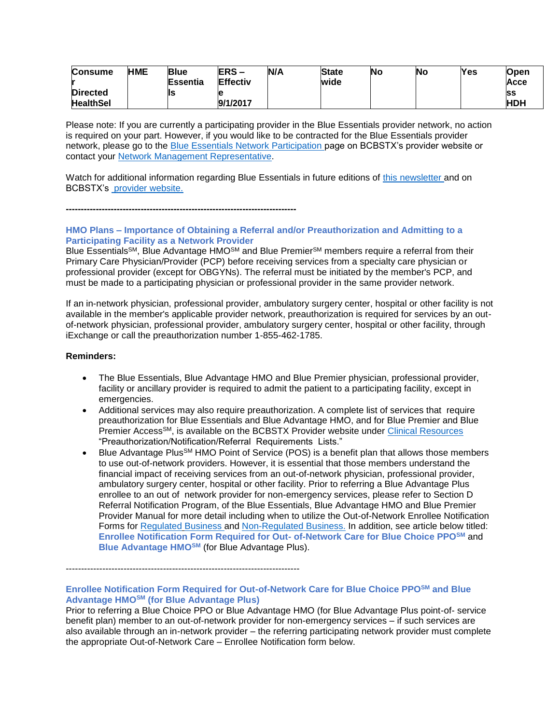| <b>Consume</b>   | <b>HME</b> | <b>Blue</b>     | <b>ERS-</b>     | N/A | <b>State</b> | No | Νo | <b>Yes</b> | <b>Open</b> |
|------------------|------------|-----------------|-----------------|-----|--------------|----|----|------------|-------------|
|                  |            | <b>Essentia</b> | <b>Effectiv</b> |     | wide         |    |    |            | Acce        |
| <b>Directed</b>  |            | Is              |                 |     |              |    |    |            | lss         |
| <b>HealthSel</b> |            |                 | 9/1/2017        |     |              |    |    |            | <b>HDH</b>  |

Please note: If you are currently a participating provider in the Blue Essentials provider network, no action is required on your part. However, if you would like to be contracted for the Blue Essentials provider network, please go to the [Blue Essentials Network Participation p](https://www.bcbstx.com/provider/network/blue_essentials_participation.html)age on BCBSTX's provider website or contact your [Network Management Representative.](https://www.bcbstx.com/provider/contact_us.html)

Watch for additional information regarding Blue Essentials in future editions of [this newsletter a](https://www.bcbstx.com/provider/news/bluereview.html)nd on BCBSTX's [provider website.](https://www.bcbstx.com/provider/index.html)

**-----------------------------------------------------------------------------**

-----------------------------------------------------------------------------

#### **HMO Plans – Importance of Obtaining a Referral and/or Preauthorization and Admitting to a Participating Facility as a Network Provider**

Blue Essentials<sup>SM</sup>, Blue Advantage HMO<sup>SM</sup> and Blue Premier<sup>SM</sup> members require a referral from their Primary Care Physician/Provider (PCP) before receiving services from a specialty care physician or professional provider (except for OBGYNs). The referral must be initiated by the member's PCP, and must be made to a participating physician or professional provider in the same provider network.

If an in-network physician, professional provider, ambulatory surgery center, hospital or other facility is not available in the member's applicable provider network, preauthorization is required for services by an outof-network physician, professional provider, ambulatory surgery center, hospital or other facility, through iExchange or call the preauthorization number 1-855-462-1785.

#### **Reminders:**

- The Blue Essentials, Blue Advantage HMO and Blue Premier physician, professional provider, facility or ancillary provider is required to admit the patient to a participating facility, except in emergencies.
- Additional services may also require preauthorization. A complete list of services that require preauthorization for Blue Essentials and Blue Advantage HMO, and for Blue Premier and Blue Premier AccessSM, is available on the BCBSTX Provider website under [Clinical Resources](https://www.bcbstx.com/provider/clinical/index.html) "Preauthorization/Notification/Referral Requirements Lists."
- Blue Advantage Plus<sup>SM</sup> HMO Point of Service (POS) is a benefit plan that allows those members to use out-of-network providers. However, it is essential that those members understand the financial impact of receiving services from an out-of-network physician, professional provider, ambulatory surgery center, hospital or other facility. Prior to referring a Blue Advantage Plus enrollee to an out of network provider for non-emergency services, please refer to Section D Referral Notification Program, of the Blue Essentials, Blue Advantage HMO and Blue Premier Provider Manual for more detail including when to utilize the Out-of-Network Enrollee Notification Forms for [Regulated](http://www.bcbstx.com/provider/pdf/out-of-network-care-enrollee-notification-form.pdf) [Business a](http://www.bcbstx.com/provider/pdf/out-of-network-care-enrollee-notification-form.pdf)nd [Non-Regulated Business.](http://www.bcbstx.com/provider/pdf/out-of-network-care-enrollee-notification-form-nr.pdf) In addition, see article below titled: **Enrollee Notification Form Required for Out- of-Network Care for Blue Choice PPOSM** and **Blue Advantage HMOSM** (for Blue Advantage Plus).

**Enrollee Notification Form Required for Out-of-Network Care for Blue Choice PPOSM and Blue Advantage HMOSM (for Blue Advantage Plus)**

Prior to referring a Blue Choice PPO or Blue Advantage HMO (for Blue Advantage Plus point-of- service benefit plan) member to an out-of-network provider for non-emergency services – if such services are also available through an in-network provider – the referring participating network provider must complete the appropriate Out-of-Network Care – Enrollee Notification form below.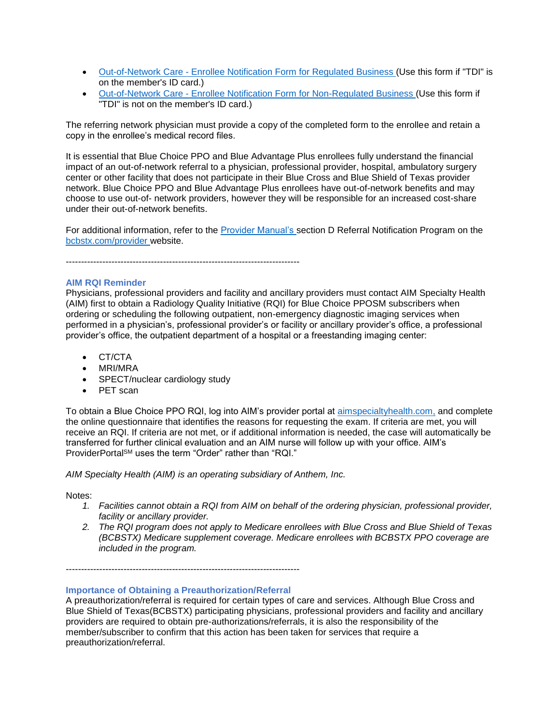- Out-of-Network Care [Enrollee Notification Form for Regulated Business \(](http://www.bcbstx.com/provider/pdf/out-of-network-care-enrollee-notification-form.pdf)Use this form if "TDI" is on the member's ID card.)
- Out-of-Network Care [Enrollee Notification Form for Non-Regulated Business \(](http://www.bcbstx.com/provider/pdf/out-of-network-care-enrollee-notification-form-nr.pdf)Use this form if "TDI" is not on the member's ID card.)

The referring network physician must provide a copy of the completed form to the enrollee and retain a copy in the enrollee's medical record files.

It is essential that Blue Choice PPO and Blue Advantage Plus enrollees fully understand the financial impact of an out-of-network referral to a physician, professional provider, hospital, ambulatory surgery center or other facility that does not participate in their Blue Cross and Blue Shield of Texas provider network. Blue Choice PPO and Blue Advantage Plus enrollees have out-of-network benefits and may choose to use out-of- network providers, however they will be responsible for an increased cost-share under their out-of-network benefits.

For additional information, refer to the [Provider Manual's s](http://www.bcbstx.com/provider/gri/index.html)ection D Referral Notification Program on th[e](http://www.bcbstx.com/provider/index.html) [bcbstx.com/provider w](http://www.bcbstx.com/provider/index.html)ebsite.

-----------------------------------------------------------------------------

#### **AIM RQI Reminder**

Physicians, professional providers and facility and ancillary providers must contact AIM Specialty Health (AIM) first to obtain a Radiology Quality Initiative (RQI) for Blue Choice PPOSM subscribers when ordering or scheduling the following outpatient, non-emergency diagnostic imaging services when performed in a physician's, professional provider's or facility or ancillary provider's office, a professional provider's office, the outpatient department of a hospital or a freestanding imaging center:

- CT/CTA
- MRI/MRA
- SPECT/nuclear cardiology study
- PET scan

To obtain a Blue Choice PPO RQI, log into AIM's provider portal at [aimspecialtyhealth.com,](http://www.aimspecialtyhealth.com/) and complete the online questionnaire that identifies the reasons for requesting the exam. If criteria are met, you will receive an RQI. If criteria are not met, or if additional information is needed, the case will automatically be transferred for further clinical evaluation and an AIM nurse will follow up with your office. AIM's ProviderPortalSM uses the term "Order" rather than "RQI."

*AIM Specialty Health (AIM) is an operating subsidiary of Anthem, Inc.*

Notes:

- *1. Facilities cannot obtain a RQI from AIM on behalf of the ordering physician, professional provider, facility or ancillary provider.*
- *2. The RQI program does not apply to Medicare enrollees with Blue Cross and Blue Shield of Texas (BCBSTX) Medicare supplement coverage. Medicare enrollees with BCBSTX PPO coverage are included in the program.*

-----------------------------------------------------------------------------

#### **Importance of Obtaining a Preauthorization/Referral**

A preauthorization/referral is required for certain types of care and services. Although Blue Cross and Blue Shield of Texas(BCBSTX) participating physicians, professional providers and facility and ancillary providers are required to obtain pre-authorizations/referrals, it is also the responsibility of the member/subscriber to confirm that this action has been taken for services that require a preauthorization/referral.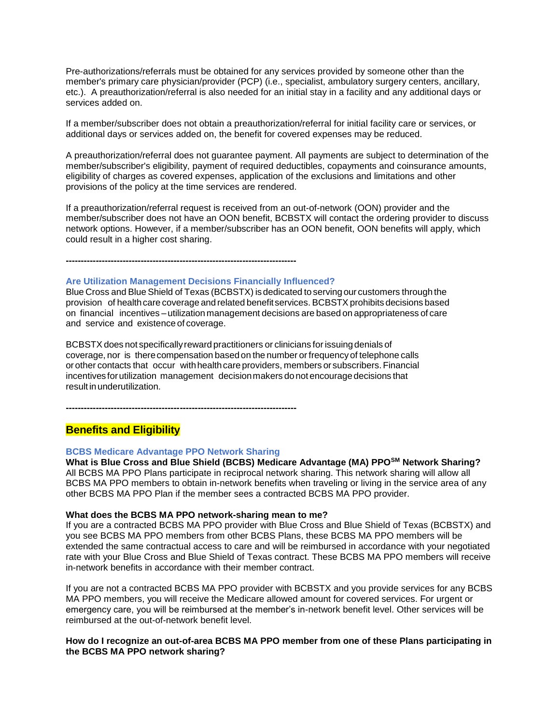Pre-authorizations/referrals must be obtained for any services provided by someone other than the member's primary care physician/provider (PCP) (i.e., specialist, ambulatory surgery centers, ancillary, etc.). A preauthorization/referral is also needed for an initial stay in a facility and any additional days or services added on.

If a member/subscriber does not obtain a preauthorization/referral for initial facility care or services, or additional days or services added on, the benefit for covered expenses may be reduced.

A preauthorization/referral does not guarantee payment. All payments are subject to determination of the member/subscriber's eligibility, payment of required deductibles, copayments and coinsurance amounts, eligibility of charges as covered expenses, application of the exclusions and limitations and other provisions of the policy at the time services are rendered.

If a preauthorization/referral request is received from an out-of-network (OON) provider and the member/subscriber does not have an OON benefit, BCBSTX will contact the ordering provider to discuss network options. However, if a member/subscriber has an OON benefit, OON benefits will apply, which could result in a higher cost sharing.

**-----------------------------------------------------------------------------**

#### **Are Utilization Management Decisions Financially Influenced?**

Blue Cross and Blue Shield of Texas (BCBSTX) isdedicated to serving our customers through the provision of health care coverage and related benefit services. BCBSTX prohibits decisions based on financial incentives –utilization management decisions are based on appropriateness of care and service and existence of coverage.

BCBSTX does not specifically reward practitioners or clinicians for issuing denials of coverage, nor is there compensation based on the number or frequency of telephone calls or other contacts that occur with health care providers, members or subscribers. Financial incentives for utilization management decision makers do not encourage decisions that result in underutilization.

**-----------------------------------------------------------------------------**

### **Benefits and Eligibility**

### **BCBS Medicare Advantage PPO Network Sharing**

**What is Blue Cross and Blue Shield (BCBS) Medicare Advantage (MA) PPOSM Network Sharing?** All BCBS MA PPO Plans participate in reciprocal network sharing. This network sharing will allow all BCBS MA PPO members to obtain in-network benefits when traveling or living in the service area of any other BCBS MA PPO Plan if the member sees a contracted BCBS MA PPO provider.

#### **What does the BCBS MA PPO network-sharing mean to me?**

If you are a contracted BCBS MA PPO provider with Blue Cross and Blue Shield of Texas (BCBSTX) and you see BCBS MA PPO members from other BCBS Plans, these BCBS MA PPO members will be extended the same contractual access to care and will be reimbursed in accordance with your negotiated rate with your Blue Cross and Blue Shield of Texas contract. These BCBS MA PPO members will receive in-network benefits in accordance with their member contract.

If you are not a contracted BCBS MA PPO provider with BCBSTX and you provide services for any BCBS MA PPO members, you will receive the Medicare allowed amount for covered services. For urgent or emergency care, you will be reimbursed at the member's in-network benefit level. Other services will be reimbursed at the out-of-network benefit level.

#### **How do I recognize an out-of-area BCBS MA PPO member from one of these Plans participating in the BCBS MA PPO network sharing?**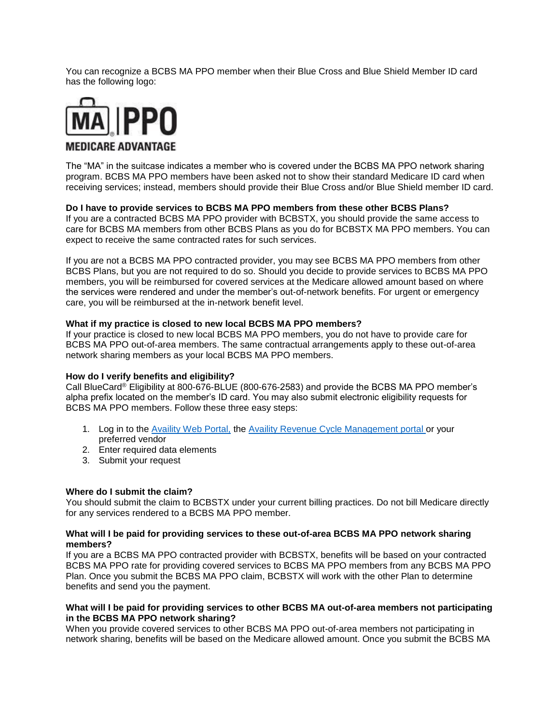You can recognize a BCBS MA PPO member when their Blue Cross and Blue Shield Member ID card has the following logo:



The "MA" in the suitcase indicates a member who is covered under the BCBS MA PPO network sharing program. BCBS MA PPO members have been asked not to show their standard Medicare ID card when receiving services; instead, members should provide their Blue Cross and/or Blue Shield member ID card.

#### **Do I have to provide services to BCBS MA PPO members from these other BCBS Plans?**

If you are a contracted BCBS MA PPO provider with BCBSTX, you should provide the same access to care for BCBS MA members from other BCBS Plans as you do for BCBSTX MA PPO members. You can expect to receive the same contracted rates for such services.

If you are not a BCBS MA PPO contracted provider, you may see BCBS MA PPO members from other BCBS Plans, but you are not required to do so. Should you decide to provide services to BCBS MA PPO members, you will be reimbursed for covered services at the Medicare allowed amount based on where the services were rendered and under the member's out-of-network benefits. For urgent or emergency care, you will be reimbursed at the in-network benefit level.

#### **What if my practice is closed to new local BCBS MA PPO members?**

If your practice is closed to new local BCBS MA PPO members, you do not have to provide care for BCBS MA PPO out-of-area members. The same contractual arrangements apply to these out-of-area network sharing members as your local BCBS MA PPO members.

#### **How do I verify benefits and eligibility?**

Call BlueCard® Eligibility at 800-676-BLUE (800-676-2583) and provide the BCBS MA PPO member's alpha prefix located on the member's ID card. You may also submit electronic eligibility requests for BCBS MA PPO members. Follow these three easy steps:

- 1. Log in to the [Availity Web Portal,](https://www.availity.com/) the [Availity Revenue Cycle Management portal](https://claims.realmed.com/) or your preferred vendor
- 2. Enter required data elements
- 3. Submit your request

#### **Where do I submit the claim?**

You should submit the claim to BCBSTX under your current billing practices. Do not bill Medicare directly for any services rendered to a BCBS MA PPO member.

#### **What will I be paid for providing services to these out-of-area BCBS MA PPO network sharing members?**

If you are a BCBS MA PPO contracted provider with BCBSTX, benefits will be based on your contracted BCBS MA PPO rate for providing covered services to BCBS MA PPO members from any BCBS MA PPO Plan. Once you submit the BCBS MA PPO claim, BCBSTX will work with the other Plan to determine benefits and send you the payment.

#### **What will I be paid for providing services to other BCBS MA out-of-area members not participating in the BCBS MA PPO network sharing?**

When you provide covered services to other BCBS MA PPO out-of-area members not participating in network sharing, benefits will be based on the Medicare allowed amount. Once you submit the BCBS MA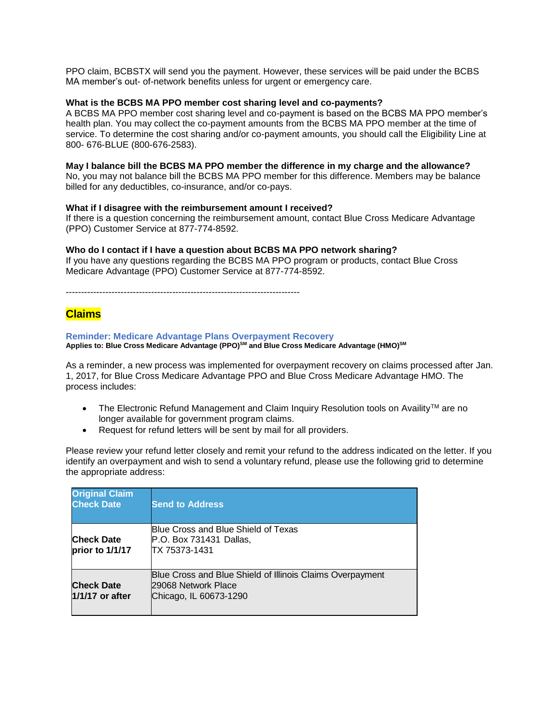PPO claim, BCBSTX will send you the payment. However, these services will be paid under the BCBS MA member's out- of-network benefits unless for urgent or emergency care.

#### **What is the BCBS MA PPO member cost sharing level and co-payments?**

A BCBS MA PPO member cost sharing level and co-payment is based on the BCBS MA PPO member's health plan. You may collect the co-payment amounts from the BCBS MA PPO member at the time of service. To determine the cost sharing and/or co-payment amounts, you should call the Eligibility Line at 800- 676-BLUE (800-676-2583).

#### **May I balance bill the BCBS MA PPO member the difference in my charge and the allowance?**

No, you may not balance bill the BCBS MA PPO member for this difference. Members may be balance billed for any deductibles, co-insurance, and/or co-pays.

#### **What if I disagree with the reimbursement amount I received?**

If there is a question concerning the reimbursement amount, contact Blue Cross Medicare Advantage (PPO) Customer Service at 877-774-8592.

#### **Who do I contact if I have a question about BCBS MA PPO network sharing?**

If you have any questions regarding the BCBS MA PPO program or products, contact Blue Cross Medicare Advantage (PPO) Customer Service at 877-774-8592.

-----------------------------------------------------------------------------

### **Claims**

#### **Reminder: Medicare Advantage Plans Overpayment Recovery Applies to: Blue Cross Medicare Advantage (PPO)SM and Blue Cross Medicare Advantage (HMO)SM**

As a reminder, a new process was implemented for overpayment recovery on claims processed after Jan. 1, 2017, for Blue Cross Medicare Advantage PPO and Blue Cross Medicare Advantage HMO. The process includes:

- The Electronic Refund Management and Claim Inquiry Resolution tools on Availity™ are no longer available for government program claims.
- Request for refund letters will be sent by mail for all providers.

Please review your refund letter closely and remit your refund to the address indicated on the letter. If you identify an overpayment and wish to send a voluntary refund, please use the following grid to determine the appropriate address:

| <b>Original Claim</b><br><b>Check Date</b> | <b>Send to Address</b>                                                                                     |
|--------------------------------------------|------------------------------------------------------------------------------------------------------------|
| <b>Check Date</b><br>prior to 1/1/17       | Blue Cross and Blue Shield of Texas<br>P.O. Box 731431 Dallas,<br>TX 75373-1431                            |
| <b>Check Date</b><br>1/1/17 or after       | Blue Cross and Blue Shield of Illinois Claims Overpayment<br>29068 Network Place<br>Chicago, IL 60673-1290 |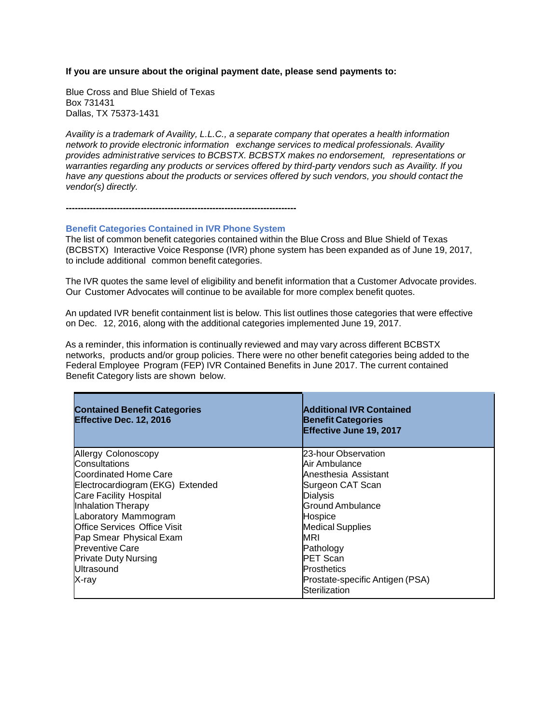#### **If you are unsure about the original payment date, please send payments to:**

Blue Cross and Blue Shield of Texas Box 731431 Dallas, TX 75373-1431

*Availity is a trademark of Availity, L.L.C., a separate company that operates a health information network to provide electronic information exchange services to medical professionals. Availity provides administrative services to BCBSTX. BCBSTX makes no endorsement, representations or warranties regarding any products or services offered by third-party vendors such as Availity. If you have any questions about the products or services offered by such vendors, you should contact the vendor(s) directly.*

**-----------------------------------------------------------------------------**

### **Benefit Categories Contained in IVR Phone System**

The list of common benefit categories contained within the Blue Cross and Blue Shield of Texas (BCBSTX) Interactive Voice Response (IVR) phone system has been expanded as of June 19, 2017, to include additional common benefit categories.

The IVR quotes the same level of eligibility and benefit information that a Customer Advocate provides. Our Customer Advocates will continue to be available for more complex benefit quotes.

An updated IVR benefit containment list is below. This list outlines those categories that were effective on Dec. 12, 2016, along with the additional categories implemented June 19, 2017.

As a reminder, this information is continually reviewed and may vary across different BCBSTX networks, products and/or group policies. There were no other benefit categories being added to the Federal Employee Program (FEP) IVR Contained Benefits in June 2017. The current contained Benefit Category lists are shown below.

| <b>Contained Benefit Categories</b><br>Effective Dec. 12, 2016 | <b>Additional IVR Contained</b><br><b>Benefit Categories</b><br>Effective June 19, 2017 |
|----------------------------------------------------------------|-----------------------------------------------------------------------------------------|
| <b>Allergy Colonoscopy</b>                                     | 23-hour Observation                                                                     |
| Consultations                                                  | Air Ambulance                                                                           |
| Coordinated Home Care                                          | Anesthesia Assistant                                                                    |
| Electrocardiogram (EKG) Extended                               | Surgeon CAT Scan                                                                        |
| <b>Care Facility Hospital</b>                                  | Dialysis                                                                                |
| Inhalation Therapy                                             | Ground Ambulance                                                                        |
| Laboratory Mammogram                                           | Hospice                                                                                 |
| <b>Office Services Office Visit</b>                            | <b>Medical Supplies</b>                                                                 |
| Pap Smear Physical Exam                                        | MRI                                                                                     |
| <b>Preventive Care</b>                                         | Pathology                                                                               |
| <b>Private Duty Nursing</b>                                    | <b>PET Scan</b>                                                                         |
| Ultrasound                                                     | Prosthetics                                                                             |
| X-rav                                                          | Prostate-specific Antigen (PSA)                                                         |
|                                                                | Sterilization                                                                           |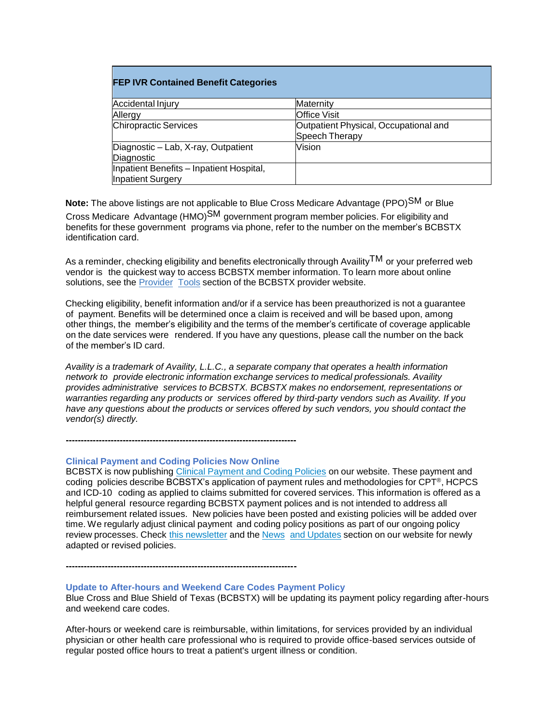| <b>FEP IVR Contained Benefit Categories</b>                          |                                                         |
|----------------------------------------------------------------------|---------------------------------------------------------|
| <b>Accidental Injury</b>                                             | Maternitv                                               |
| Allergy                                                              | <b>Office Visit</b>                                     |
| <b>Chiropractic Services</b>                                         | Outpatient Physical, Occupational and<br>Speech Therapy |
| Diagnostic - Lab, X-ray, Outpatient                                  | Vision                                                  |
| Diagnostic                                                           |                                                         |
| Inpatient Benefits - Inpatient Hospital,<br><b>Inpatient Surgery</b> |                                                         |

**Note:** The above listings are not applicable to Blue Cross Medicare Advantage (PPO)SM or Blue Cross Medicare Advantage (HMO)SM government program member policies. For eligibility and benefits for these government programs via phone, refer to the number on the member's BCBSTX identification card.

As a reminder, checking eligibility and benefits electronically through Availity  $TM$  or your preferred web vendor is the quickest way to access BCBSTX member information. To learn more about online solutions, see the [Provider](https://www.bcbstx.com/provider/tools/index.html) [Tools](https://www.bcbstx.com/provider/tools/index.html) section of the BCBSTX provider website.

Checking eligibility, benefit information and/or if a service has been preauthorized is not a guarantee of payment. Benefits will be determined once a claim is received and will be based upon, among other things, the member's eligibility and the terms of the member's certificate of coverage applicable on the date services were rendered. If you have any questions, please call the number on the back of the member's ID card.

*Availity is a trademark of Availity, L.L.C., a separate company that operates a health information network to provide electronic information exchange services to medical professionals. Availity provides administrative services to BCBSTX. BCBSTX makes no endorsement, representations or warranties regarding any products or services offered by third-party vendors such as Availity. If you have any questions about the products or services offered by such vendors, you should contact the vendor(s) directly.*

**Clinical Payment and Coding Policies Now Online**

**-----------------------------------------------------------------------------**

**-----------------------------------------------------------------------------**

BCBSTX is now publishing Clinical [Payment](https://www.bcbstx.com/provider/standards/cpcp.html) and Coding Policies on our website. These payment and coding policies describe BCBSTX's application of payment rules and methodologies for CPT®, HCPCS and ICD-10 coding as applied to claims submitted for covered services. This information is offered as a helpful general resource regarding BCBSTX payment polices and is not intended to address all reimbursement related issues. New policies have been posted and existing policies will be added over time. We regularly adjust clinical payment and coding policy positions as part of our ongoing policy review processes. Check this [newsletter](https://www.bcbstx.com/provider/news/bluereview.html) and the News and [Updates](https://www.bcbstx.com/provider/news/index.html) section on our website for newly adapted or revised policies.

**Update to After-hours and Weekend Care Codes Payment Policy**

Blue Cross and Blue Shield of Texas (BCBSTX) will be updating its payment policy regarding after-hours and weekend care codes.

After-hours or weekend care is reimbursable, within limitations, for services provided by an individual physician or other health care professional who is required to provide office-based services outside of regular posted office hours to treat a patient's urgent illness or condition.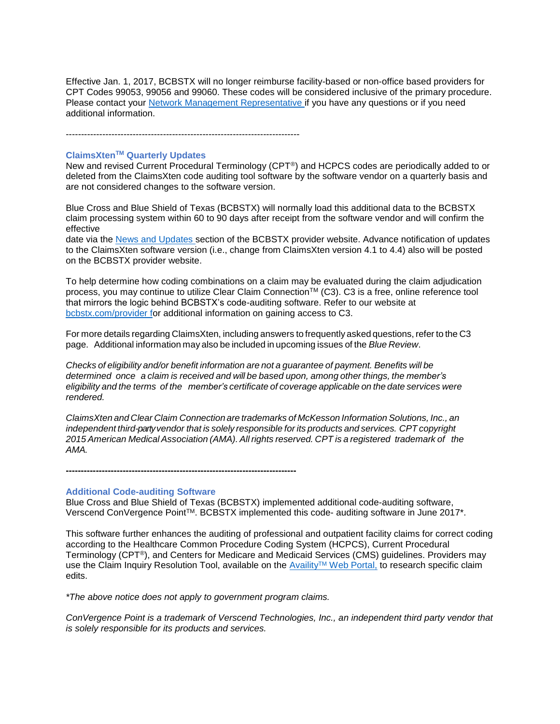Effective Jan. 1, 2017, BCBSTX will no longer reimburse facility-based or non-office based providers for CPT Codes 99053, 99056 and 99060. These codes will be considered inclusive of the primary procedure. Please contact your [Network Management Representative i](https://www.bcbstx.com/provider/contact_us.html#localnetwork)f you have any questions or if you need additional information.

-----------------------------------------------------------------------------

#### **ClaimsXtenTM Quarterly Updates**

New and revised Current Procedural Terminology (CPT®) and HCPCS codes are periodically added to or deleted from the ClaimsXten code auditing tool software by the software vendor on a quarterly basis and are not considered changes to the software version.

Blue Cross and Blue Shield of Texas (BCBSTX) will normally load this additional data to the BCBSTX claim processing system within 60 to 90 days after receipt from the software vendor and will confirm the effective

date via the [News and Updates s](http://www.bcbstx.com/provider/news/index.html)ection of the BCBSTX provider website. Advance notification of updates to the ClaimsXten software version (i.e., change from ClaimsXten version 4.1 to 4.4) also will be posted on the BCBSTX provider website.

To help determine how coding combinations on a claim may be evaluated during the claim adjudication process, you may continue to utilize Clear Claim Connection™ (C3). C3 is a free, online reference tool that mirrors the logic behind BCBSTX's code-auditing software. Refer to our website at [bcbstx.com/provider fo](http://www.bcbstx.com/provider/)r additional information on gaining access to C3.

For more details regarding ClaimsXten, including answers to frequently asked questions, refer to the C3 page. Additional information may also be included in upcoming issues of the *Blue Review*.

*Checks of eligibility and/or benefit information are not a guarantee of payment. Benefits will be determined once a claim is received and will be based upon, among other things, the member's eligibility and the terms of the member's certificate of coverage applicable on the date services were rendered.*

*ClaimsXten and Clear Claim Connection are trademarks of McKesson Information Solutions, Inc., an independent third-partyvendor that is solely responsible for its products and services. CPT copyright 2015 American Medical Association (AMA). All rights reserved. CPT is a registered trademark of the AMA.*

**-----------------------------------------------------------------------------**

#### **Additional Code-auditing Software**

Blue Cross and Blue Shield of Texas (BCBSTX) implemented additional code-auditing software, Verscend ConVergence Point™. BCBSTX implemented this code- auditing software in June 2017\*.

This software further enhances the auditing of professional and outpatient facility claims for correct coding according to the Healthcare Common Procedure Coding System (HCPCS), Current Procedural Terminology (CPT®), and Centers for Medicare and Medicaid Services (CMS) guidelines. Providers may use the Claim Inquiry Resolution Tool, available on the Availity™ [Web Portal,](https://apps.availity.com/availity/web/public.elegant.login) to research specific claim edits.

*\*The above notice does not apply to government program claims.*

*ConVergence Point is a trademark of Verscend Technologies, Inc., an independent third party vendor that is solely responsible for its products and services.*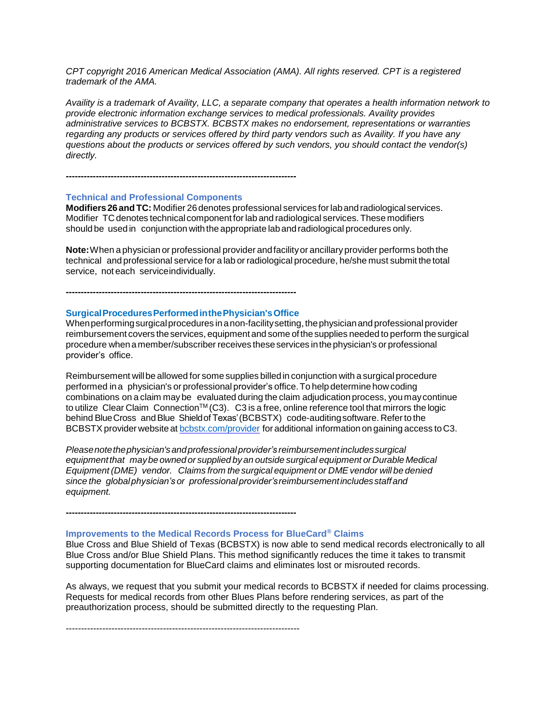*CPT copyright 2016 American Medical Association (AMA). All rights reserved. CPT is a registered trademark of the AMA.*

*Availity is a trademark of Availity, LLC, a separate company that operates a health information network to provide electronic information exchange services to medical professionals. Availity provides administrative services to BCBSTX. BCBSTX makes no endorsement, representations or warranties regarding any products or services offered by third party vendors such as Availity. If you have any questions about the products or services offered by such vendors, you should contact the vendor(s) directly.*

**-----------------------------------------------------------------------------**

#### **Technical and Professional Components**

**Modifiers26andTC:** Modifier 26denotes professional services forlabandradiological services. Modifier TC denotes technical component forlab and radiological services.These modifiers should be used in conjunction withthe appropriate labandradiological procedures only.

**Note:**When a physician or professional provider andfacilityor ancillaryprovider performs boththe technical and professional service for a lab or radiological procedure, he/she must submit the total service, not each serviceindividually.

**-----------------------------------------------------------------------------**

#### **SurgicalProceduresPerformedinthePhysician'sOffice**

When performing surgical procedures in a non-facility setting, the physician and professional provider reimbursement covers theservices, equipment and some ofthesupplies needed to perform thesurgical procedure whenamember/subscriber receives theseservices inthephysician's or professional provider's office.

Reimbursement willbe allowed for some supplies billedin conjunction with a surgical procedure performed ina physician's or professional provider's office.To help determine how coding combinations on a claim may be evaluated during the claim adjudication process, you maycontinue to utilize Clear Claim Connection™ (C3). C3 is a free, online reference tool that mirrors the logic behind Blue Cross and Blue Shield of Texas' (BCBSTX) code-auditing software. Refer to the BCBSTX provider website at [bcbstx.com/provider](https://www.bcbstx.com/provider/) foradditional information on gaining access toC3.

*Pleasenotethephysician'sandprofessionalprovider's reimbursementincludessurgical equipmentthat maybe owned or supplied byan outside surgical equipment orDurable Medical Equipment (DME) vendor. Claims from thesurgical equipment or DMEvendor will be denied since the globalphysician's or professionalprovider'sreimbursementincludesstaffand equipment.*

**-----------------------------------------------------------------------------**

#### **Improvements to the Medical Records Process for BlueCard® Claims**

Blue Cross and Blue Shield of Texas (BCBSTX) is now able to send medical records electronically to all Blue Cross and/or Blue Shield Plans. This method significantly reduces the time it takes to transmit supporting documentation for BlueCard claims and eliminates lost or misrouted records.

As always, we request that you submit your medical records to BCBSTX if needed for claims processing. Requests for medical records from other Blues Plans before rendering services, as part of the preauthorization process, should be submitted directly to the requesting Plan.

-----------------------------------------------------------------------------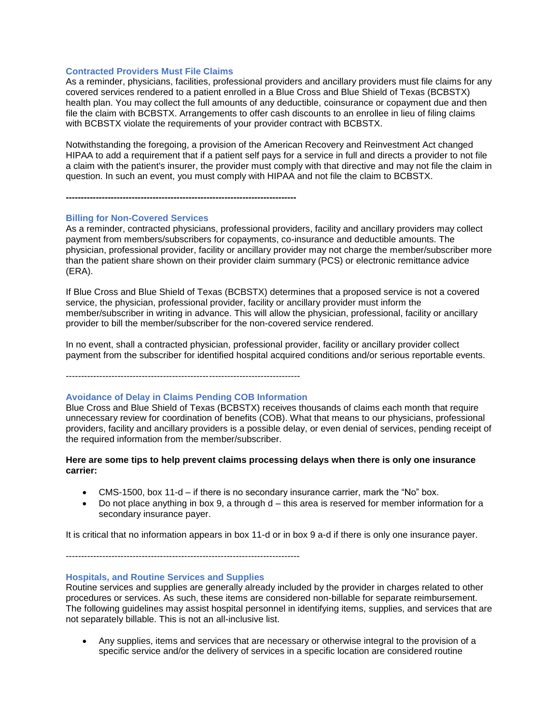#### **Contracted Providers Must File Claims**

As a reminder, physicians, facilities, professional providers and ancillary providers must file claims for any covered services rendered to a patient enrolled in a Blue Cross and Blue Shield of Texas (BCBSTX) health plan. You may collect the full amounts of any deductible, coinsurance or copayment due and then file the claim with BCBSTX. Arrangements to offer cash discounts to an enrollee in lieu of filing claims with BCBSTX violate the requirements of your provider contract with BCBSTX.

Notwithstanding the foregoing, a provision of the American Recovery and Reinvestment Act changed HIPAA to add a requirement that if a patient self pays for a service in full and directs a provider to not file a claim with the patient's insurer, the provider must comply with that directive and may not file the claim in question. In such an event, you must comply with HIPAA and not file the claim to BCBSTX.

#### **Billing for Non-Covered Services**

As a reminder, contracted physicians, professional providers, facility and ancillary providers may collect payment from members/subscribers for copayments, co-insurance and deductible amounts. The physician, professional provider, facility or ancillary provider may not charge the member/subscriber more than the patient share shown on their provider claim summary (PCS) or electronic remittance advice (ERA).

If Blue Cross and Blue Shield of Texas (BCBSTX) determines that a proposed service is not a covered service, the physician, professional provider, facility or ancillary provider must inform the member/subscriber in writing in advance. This will allow the physician, professional, facility or ancillary provider to bill the member/subscriber for the non-covered service rendered.

In no event, shall a contracted physician, professional provider, facility or ancillary provider collect payment from the subscriber for identified hospital acquired conditions and/or serious reportable events.

-----------------------------------------------------------------------------

**-----------------------------------------------------------------------------**

#### **Avoidance of Delay in Claims Pending COB Information**

Blue Cross and Blue Shield of Texas (BCBSTX) receives thousands of claims each month that require unnecessary review for coordination of benefits (COB). What that means to our physicians, professional providers, facility and ancillary providers is a possible delay, or even denial of services, pending receipt of the required information from the member/subscriber.

#### **Here are some tips to help prevent claims processing delays when there is only one insurance carrier:**

- CMS-1500, box 11-d if there is no secondary insurance carrier, mark the "No" box.
- Do not place anything in box  $9$ , a through  $d$  this area is reserved for member information for a secondary insurance payer.

It is critical that no information appears in box 11-d or in box 9 a-d if there is only one insurance payer.

-----------------------------------------------------------------------------

#### **Hospitals, and Routine Services and Supplies**

Routine services and supplies are generally already included by the provider in charges related to other procedures or services. As such, these items are considered non-billable for separate reimbursement. The following guidelines may assist hospital personnel in identifying items, supplies, and services that are not separately billable. This is not an all-inclusive list.

• Any supplies, items and services that are necessary or otherwise integral to the provision of a specific service and/or the delivery of services in a specific location are considered routine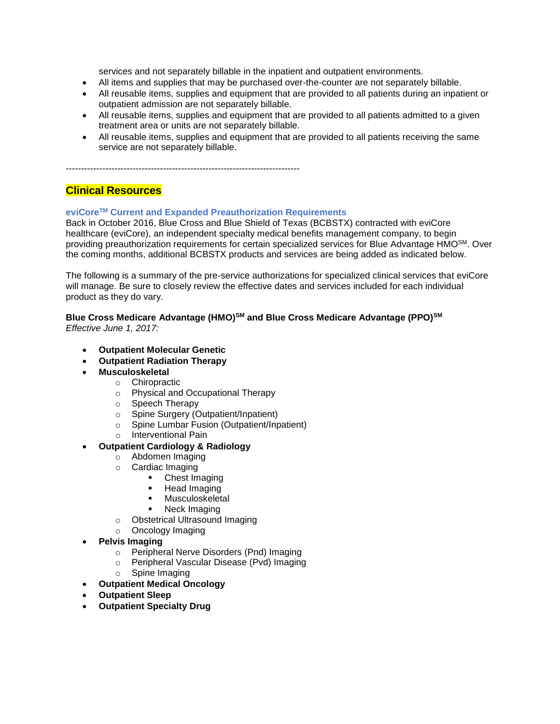services and not separately billable in the inpatient and outpatient environments.

- All items and supplies that may be purchased over-the-counter are not separately billable.
- All reusable items, supplies and equipment that are provided to all patients during an inpatient or outpatient admission are not separately billable.
- All reusable items, supplies and equipment that are provided to all patients admitted to a given treatment area or units are not separately billable.
- All reusable items, supplies and equipment that are provided to all patients receiving the same service are not separately billable.

-----------------------------------------------------------------------------

### **Clinical Resources**

### **eviCoreTM Current and Expanded Preauthorization Requirements**

Back in October 2016, Blue Cross and Blue Shield of Texas (BCBSTX) contracted with eviCore healthcare (eviCore), an independent specialty medical benefits management company, to begin providing preauthorization requirements for certain specialized services for Blue Advantage HMOSM. Over the coming months, additional BCBSTX products and services are being added as indicated below.

The following is a summary of the pre-service authorizations for specialized clinical services that eviCore will manage. Be sure to closely review the effective dates and services included for each individual product as they do vary.

#### **Blue Cross Medicare Advantage (HMO)SM and Blue Cross Medicare Advantage (PPO)SM** *Effective June 1, 2017:*

- **Outpatient Molecular Genetic**
- **Outpatient Radiation Therapy**
- **Musculoskeletal**
	- o Chiropractic
	- o Physical and Occupational Therapy
	- o Speech Therapy
	- o Spine Surgery (Outpatient/Inpatient)
	- o Spine Lumbar Fusion (Outpatient/Inpatient)
	- o Interventional Pain
- **Outpatient Cardiology & Radiology**
	- o Abdomen Imaging
	- o Cardiac Imaging
		- Chest Imaging
		- Head Imaging
		- Musculoskeletal
		- Neck Imaging
	- o Obstetrical Ultrasound Imaging
	- o Oncology Imaging
- **Pelvis Imaging**
	- o Peripheral Nerve Disorders (Pnd) Imaging
	- o Peripheral Vascular Disease (Pvd) Imaging
	- o Spine Imaging
- **Outpatient Medical Oncology**
- **Outpatient Sleep**
- **Outpatient Specialty Drug**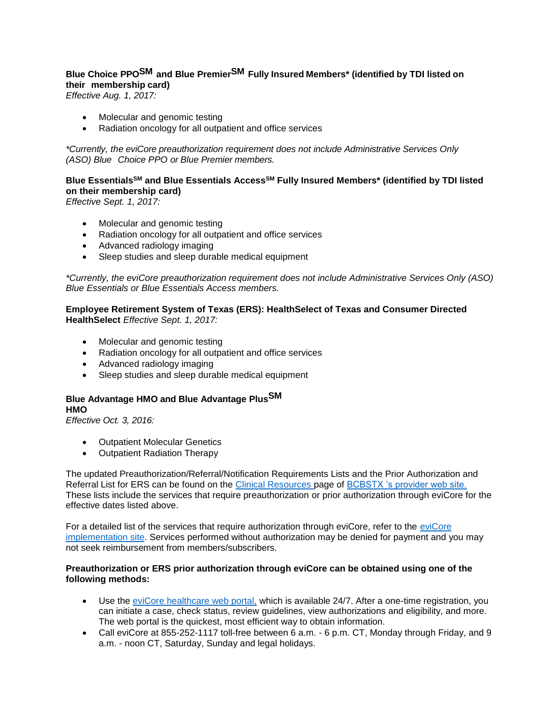## **Blue Choice PPOSM and Blue PremierSM Fully Insured Members\* (identified by TDI listed on their membership card)**

*Effective Aug. 1, 2017:*

- Molecular and genomic testing
- Radiation oncology for all outpatient and office services

*\*Currently, the eviCore preauthorization requirement does not include Administrative Services Only (ASO) Blue Choice PPO or Blue Premier members.*

### **Blue EssentialsSM and Blue Essentials AccessSM Fully Insured Members\* (identified by TDI listed on their membership card)**

*Effective Sept. 1, 2017:*

- Molecular and genomic testing
- Radiation oncology for all outpatient and office services
- Advanced radiology imaging
- Sleep studies and sleep durable medical equipment

*\*Currently, the eviCore preauthorization requirement does not include Administrative Services Only (ASO) Blue Essentials or Blue Essentials Access members.*

#### **Employee Retirement System of Texas (ERS): HealthSelect of Texas and Consumer Directed HealthSelect** *Effective Sept. 1, 2017:*

- Molecular and genomic testing
- Radiation oncology for all outpatient and office services
- Advanced radiology imaging
- Sleep studies and sleep durable medical equipment

### **Blue Advantage HMO and Blue Advantage PlusSM HMO**

*Effective Oct. 3, 2016:*

- Outpatient Molecular Genetics
- Outpatient Radiation Therapy

The updated Preauthorization/Referral/Notification Requirements Lists and the Prior Authorization and Referral List for ERS can be found on the [Clinical Resources](https://www.bcbstx.com/provider/clinical/index.html) page of [BCBSTX 's provider web site.](https://www.bcbstx.com/provider/) These lists include the services that require preauthorization or prior authorization through eviCore for the effective dates listed above.

For a detailed list of the services that require authorization through eviCore, refer to the [eviCore](https://www.evicore.com/healthplan/bcbstx)  [implementation site.](https://www.evicore.com/healthplan/bcbstx) Services performed without authorization may be denied for payment and you may not seek reimbursement from members/subscribers.

#### **Preauthorization or ERS prior authorization through eviCore can be obtained using one of the following methods:**

- Use the [eviCore healthcare web portal,](https://www.evicore.com/pages/providerlogin.aspx) which is available 24/7. After a one-time registration, you can initiate a case, check status, review guidelines, view authorizations and eligibility, and more. The web portal is the quickest, most efficient way to obtain information.
- Call eviCore at 855-252-1117 toll-free between 6 a.m. 6 p.m. CT, Monday through Friday, and 9 a.m. - noon CT, Saturday, Sunday and legal holidays.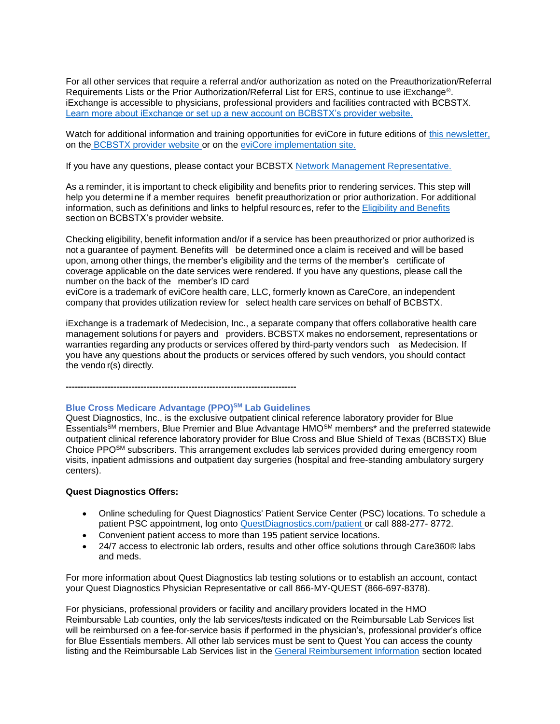For all other services that require a referral and/or authorization as noted on the Preauthorization/Referral Requirements Lists or the Prior Authorization/Referral List for ERS, continue to use iExchange®. iExchange is accessible to physicians, professional providers and facilities contracted with BCBSTX. [Learn more about iExchange or set up a new account on BCBSTX's provider website.](https://www.bcbstx.com/provider/tools/iexchange_index.html)

Watch for additional information and training opportunities for eviCore in future editions of [this newsletter,](https://www.bcbstx.com/provider/news/bluereview.html) on the [BCBSTX provider website](https://www.bcbstx.com/provider/) or on the [eviCore implementation site.](http://www.pages02.net/hcscnosuppression/bluereview_june_2017/LPT.url?kn=1009687&vs=ZDQ4NWExZDgtZjhlNy00N2Q1LWI4NDktZTQyYzE4ZWY4MTU5OzA6MTExNzIwMjA6MTkyODM0MTAxODQwOjExODAxNjg3MjM6MTE4MDE2ODcyMzsS1)

If you have any questions, please contact your BCBSTX [Network Management Representative.](https://www.bcbstx.com/provider/contact_us.html#localnetwork)

As a reminder, it is important to check eligibility and benefits prior to rendering services. This step will help you determi ne if a member requires benefit preauthorization or prior authorization. For additional information, such as definitions and links to helpful resources, refer to the [Eligibility](https://www.bcbstx.com/provider/claims/eligibility_and_benefits.html) and Benefits section on BCBSTX's provider website.

Checking eligibility, benefit information and/or if a service has been preauthorized or prior authorized is not a guarantee of payment. Benefits will be determined once a claim is received and will be based upon, among other things, the member's eligibility and the terms of the member's certificate of coverage applicable on the date services were rendered. If you have any questions, please call the number on the back of the member's ID card

eviCore is a trademark of eviCore health care, LLC, formerly known as CareCore, an independent company that provides utilization review for select health care services on behalf of BCBSTX.

iExchange is a trademark of Medecision, Inc., a separate company that offers collaborative health care management solutions f or payers and providers. BCBSTX makes no endorsement, representations or warranties regarding any products or services offered by third-party vendors such as Medecision. If you have any questions about the products or services offered by such vendors, you should contact the vendo r(s) directly.

**-----------------------------------------------------------------------------**

### **Blue Cross Medicare Advantage (PPO)SM Lab Guidelines**

Quest Diagnostics, Inc., is the exclusive outpatient clinical reference laboratory provider for Blue Essentials<sup>SM</sup> members, Blue Premier and Blue Advantage HMO<sup>SM</sup> members<sup>\*</sup> and the preferred statewide outpatient clinical reference laboratory provider for Blue Cross and Blue Shield of Texas (BCBSTX) Blue Choice PPOSM subscribers. This arrangement excludes lab services provided during emergency room visits, inpatient admissions and outpatient day surgeries (hospital and free-standing ambulatory surgery centers).

#### **Quest Diagnostics Offers:**

- Online scheduling for Quest Diagnostics' Patient Service Center (PSC) locations. To schedule a patient PSC appointment, log onto [QuestDiagnostics.com/patient o](https://www.questdiagnostics.com/home/patients)r call 888-277- 8772.
- Convenient patient access to more than 195 patient service locations.
- 24/7 access to electronic lab orders, results and other office solutions through Care360® labs and meds.

For more information about Quest Diagnostics lab testing solutions or to establish an account, contact your Quest Diagnostics Physician Representative or call 866-MY-QUEST (866-697-8378).

For physicians, professional providers or facility and ancillary providers located in the HMO Reimbursable Lab counties, only the lab services/tests indicated on the Reimbursable Lab Services list will be reimbursed on a fee-for-service basis if performed in the physician's, professional provider's office for Blue Essentials members. All other lab services must be sent to Quest You can access the county listing and the Reimbursable Lab Services list in the [General Reimbursement](https://www.bcbstx.com/provider/gri/index.html) Information section located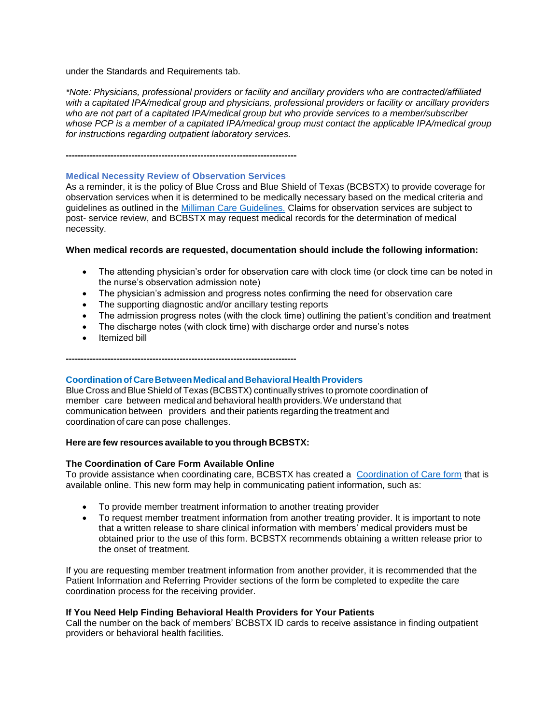under the Standards and Requirements tab.

*\*Note: Physicians, professional providers or facility and ancillary providers who are contracted/affiliated with a capitated IPA/medical group and physicians, professional providers or facility or ancillary providers who are not part of a capitated IPA/medical group but who provide services to a member/subscriber whose PCP is a member of a capitated IPA/medical group must contact the applicable IPA/medical group for instructions regarding outpatient laboratory services.*

**-----------------------------------------------------------------------------**

### **Medical Necessity Review of Observation Services**

As a reminder, it is the policy of Blue Cross and Blue Shield of Texas (BCBSTX) to provide coverage for observation services when it is determined to be medically necessary based on the medical criteria and guidelines as outlined in the [Milliman Care Guidelines](https://www.mcg.com/care-guidelines/care-guidelines/?gclid=EAIaIQobChMI_PTXromB3QIVBgtpCh09pw0pEAAYASAAEgJaQfD_BwE). Claims for observation services are subject to post- service review, and BCBSTX may request medical records for the determination of medical necessity.

### **When medical records are requested, documentation should include the following information:**

- The attending physician's order for observation care with clock time (or clock time can be noted in the nurse's observation admission note)
- The physician's admission and progress notes confirming the need for observation care
- The supporting diagnostic and/or ancillary testing reports
- The admission progress notes (with the clock time) outlining the patient's condition and treatment
- The discharge notes (with clock time) with discharge order and nurse's notes
- Itemized bill

### **Coordination of CareBetweenMedical andBehavioralHealthProviders**

Blue Cross and BlueShield of Texas (BCBSTX) continuallystrives to promote coordination of member care between medical and behavioral health providers.We understand that communication between providers and their patients regarding the treatment and coordination of care can pose challenges.

### **Here are few resources available to you through BCBSTX:**

**-----------------------------------------------------------------------------**

### **The Coordination of Care Form Available Online**

To provide assistance when coordinating care, BCBSTX has created a [Coordination of Care form](http://www.bcbstx.com/provider/pdf/bh_coordination_care.pdf) that is available online. This new form may help in communicating patient information, such as:

- To provide member treatment information to another treating provider
- To request member treatment information from another treating provider. It is important to note that a written release to share clinical information with members' medical providers must be obtained prior to the use of this form. BCBSTX recommends obtaining a written release prior to the onset of treatment.

If you are requesting member treatment information from another provider, it is recommended that the Patient Information and Referring Provider sections of the form be completed to expedite the care coordination process for the receiving provider.

### **If You Need Help Finding Behavioral Health Providers for Your Patients**

Call the number on the back of members' BCBSTX ID cards to receive assistance in finding outpatient providers or behavioral health facilities.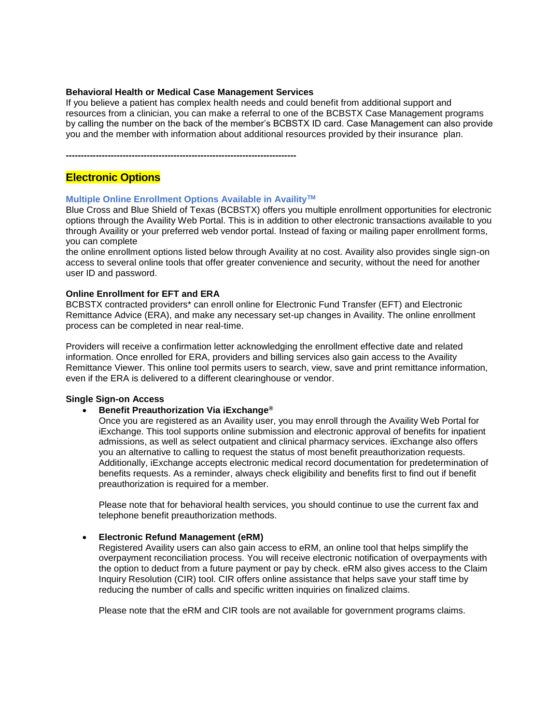#### **Behavioral Health or Medical Case Management Services**

If you believe a patient has complex health needs and could benefit from additional support and resources from a clinician, you can make a referral to one of the BCBSTX Case Management programs by calling the number on the back of the member's BCBSTX ID card. Case Management can also provide you and the member with information about additional resources provided by their insurance plan.

**-----------------------------------------------------------------------------**

#### **Electronic Options**

#### **Multiple Online Enrollment Options Available in AvailityTM**

Blue Cross and Blue Shield of Texas (BCBSTX) offers you multiple enrollment opportunities for electronic options through the Availity Web Portal. This is in addition to other electronic transactions available to you through Availity or your preferred web vendor portal. Instead of faxing or mailing paper enrollment forms, you can complete

the online enrollment options listed below through Availity at no cost. Availity also provides single sign-on access to several online tools that offer greater convenience and security, without the need for another user ID and password.

#### **Online Enrollment for EFT and ERA**

BCBSTX contracted providers\* can enroll online for Electronic Fund Transfer (EFT) and Electronic Remittance Advice (ERA), and make any necessary set-up changes in Availity. The online enrollment process can be completed in near real-time.

Providers will receive a confirmation letter acknowledging the enrollment effective date and related information. Once enrolled for ERA, providers and billing services also gain access to the Availity Remittance Viewer. This online tool permits users to search, view, save and print remittance information, even if the ERA is delivered to a different clearinghouse or vendor.

#### **Single Sign-on Access**

#### • **Benefit Preauthorization Via iExchange®**

Once you are registered as an Availity user, you may enroll through the Availity Web Portal for iExchange. This tool supports online submission and electronic approval of benefits for inpatient admissions, as well as select outpatient and clinical pharmacy services. iExchange also offers you an alternative to calling to request the status of most benefit preauthorization requests. Additionally, iExchange accepts electronic medical record documentation for predetermination of benefits requests. As a reminder, always check eligibility and benefits first to find out if benefit preauthorization is required for a member.

Please note that for behavioral health services, you should continue to use the current fax and telephone benefit preauthorization methods.

#### • **Electronic Refund Management (eRM)**

Registered Availity users can also gain access to eRM, an online tool that helps simplify the overpayment reconciliation process. You will receive electronic notification of overpayments with the option to deduct from a future payment or pay by check. eRM also gives access to the Claim Inquiry Resolution (CIR) tool. CIR offers online assistance that helps save your staff time by reducing the number of calls and specific written inquiries on finalized claims.

Please note that the eRM and CIR tools are not available for government programs claims.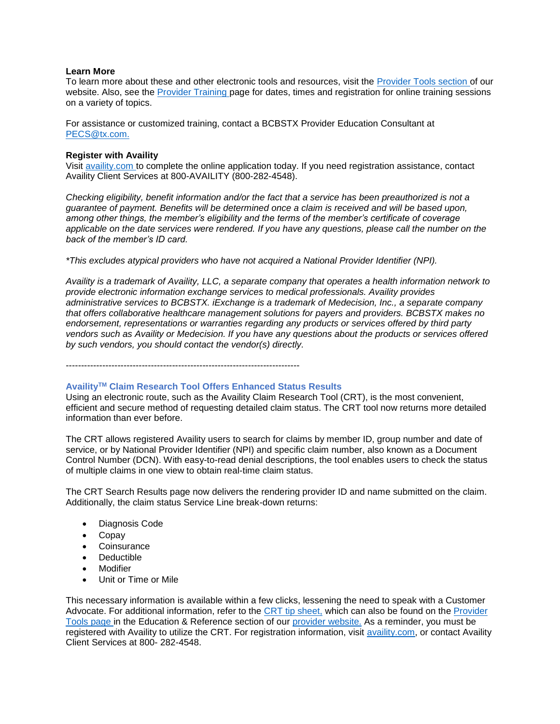#### **Learn More**

To learn more about these and other electronic tools and resources, visit the [Provider Tools section o](https://www.bcbstx.com/provider/tools/index.html)f our website. Also, see the [Provider Training](https://www.bcbstx.com/provider/training/) page for dates, times and registration for online training sessions on a variety of topics.

For assistance or customized training, contact a BCBSTX Provider Education Consultant at PECS@tx.com.

#### **Register with Availity**

Visit [availity.com](https://www.availity.com/) to complete the online application today. If you need registration assistance, contact Availity Client Services at 800-AVAILITY (800-282-4548).

*Checking eligibility, benefit information and/or the fact that a service has been preauthorized is not a guarantee of payment. Benefits will be determined once a claim is received and will be based upon, among other things, the member's eligibility and the terms of the member's certificate of coverage applicable on the date services were rendered. If you have any questions, please call the number on the back of the member's ID card.*

*\*This excludes atypical providers who have not acquired a National Provider Identifier (NPI).*

*Availity is a trademark of Availity, LLC, a separate company that operates a health information network to provide electronic information exchange services to medical professionals. Availity provides administrative services to BCBSTX. iExchange is a trademark of Medecision, Inc., a separate company that offers collaborative healthcare management solutions for payers and providers. BCBSTX makes no endorsement, representations or warranties regarding any products or services offered by third party vendors such as Availity or Medecision. If you have any questions about the products or services offered by such vendors, you should contact the vendor(s) directly.*

-----------------------------------------------------------------------------

### **AvailityTM Claim Research Tool Offers Enhanced Status Results**

Using an electronic route, such as the Availity Claim Research Tool (CRT), is the most convenient, efficient and secure method of requesting detailed claim status. The CRT tool now returns more detailed information than ever before.

The CRT allows registered Availity users to search for claims by member ID, group number and date of service, or by National Provider Identifier (NPI) and specific claim number, also known as a Document Control Number (DCN). With easy-to-read denial descriptions, the tool enables users to check the status of multiple claims in one view to obtain real-time claim status.

The CRT Search Results page now delivers the rendering provider ID and name submitted on the claim. Additionally, the claim status Service Line break-down returns:

- Diagnosis Code
- Copay
- Coinsurance
- **Deductible**
- **Modifier**
- Unit or Time or Mile

This necessary information is available within a few clicks, lessening the need to speak with a Customer Advocate. For additional information, refer to the [CRT tip sheet,](https://www.bcbstx.com/provider/pdf/availity_crt_online_tip_sheet.pdf) which can also be found on the [Provider](https://www.bcbstx.com/provider/tools/index.html)  Tools [page in](http://www.pages02.net/hcscnosuppression/blue_review_february_2017/LPT.url?kn=973884&vs=M2NiYzBjMDUtOGEzNy00ZmYxLTlmMzEtOWQ4YzAwMWI3ZjEyOzA6MTAzNjA4ODM6MjQ4NjYyOTUwNjE6MTEwMDI1ODAzODoxMTAwMjU4MDM4OwS2) the Education & Reference section of our [provider website.](https://www.bcbstx.com/provider/) As a reminder, you must be registered with Availity to utilize the CRT. For registration information, visit [availity.com,](https://www.availity.com/) or contact Availity Client Services at 800- 282-4548.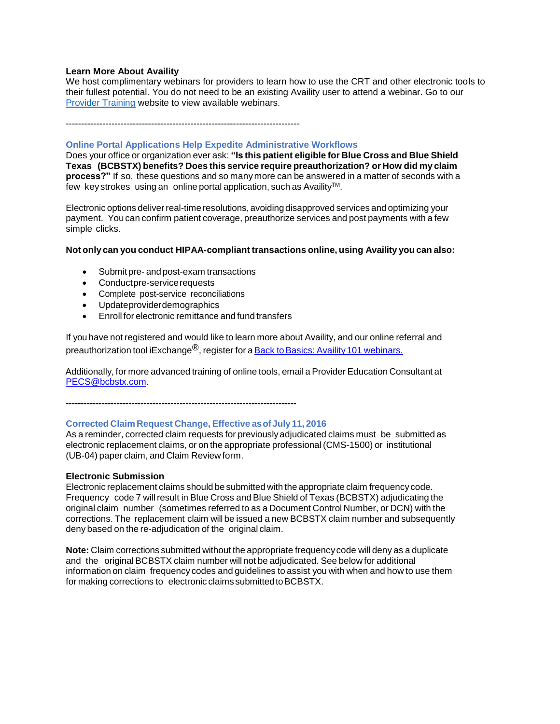#### **Learn More About Availity**

We host complimentary webinars for providers to learn how to use the CRT and other electronic tools to their fullest potential. You do not need to be an existing Availity user to attend a webinar. Go to our [Provider Training](https://www.bcbstx.com/provider/training/index.html) website to view available webinars.

### -----------------------------------------------------------------------------

#### **Online Portal Applications Help Expedite Administrative Workflows**

Does your office or organization ever ask: **"Is this patient eligible for Blue Cross and Blue Shield Texas (BCBSTX) benefits? Does this service require preauthorization? or How did my claim process?"** If so, these questions and so many more can be answered in a matter of seconds with a few key strokes using an online portal application, such as AvailityTM.

Electronic options deliver real-time resolutions, avoiding disapproved services and optimizing your payment. You can confirm patient coverage, preauthorize services and post payments with a few simple clicks.

#### **Not only can you conduct HIPAA-compliant transactions online, using Availity you can also:**

- Submitpre- and post-exam transactions
- Conductpre-servicerequests
- Complete post-service reconciliations
- Updateproviderdemographics
- Enroll for electronic remittance and fund transfers

If you have not registered and would like to learn more about Availity, and our online referral and preauthorization tool iExchange<sup>®</sup>, register for a Back to Basics: Availity 101 webinars.

Additionally, for more advanced training of online tools, email a Provider Education Consultant at [PECS@bcbstx.com.](mailto:PECS@bcbstx.com)

**-----------------------------------------------------------------------------**

#### **Corrected Claim Request Change, Effective asofJuly 11, 2016**

As a reminder, corrected claim requests for previously adjudicated claims must be submitted as electronic replacement claims, or on the appropriate professional (CMS-1500) or institutional (UB-04) paper claim, and Claim Reviewform.

#### **Electronic Submission**

Electronic replacement claims should be submitted with the appropriate claim frequencycode. Frequency code 7 willresult in Blue Cross and Blue Shield of Texas (BCBSTX) adjudicating the original claim number (sometimes referred to as a Document Control Number, or DCN) with the corrections. The replacement claim will be issued a new BCBSTX claim number and subsequently deny based on the re-adjudication of the original claim.

**Note:** Claim corrections submitted without the appropriate frequencycode will deny as a duplicate and the original BCBSTX claim number will not be adjudicated. See below for additional information on claim frequency codes and guidelines to assist you with when and how to use them for making corrections to electronic claims submitted to BCBSTX.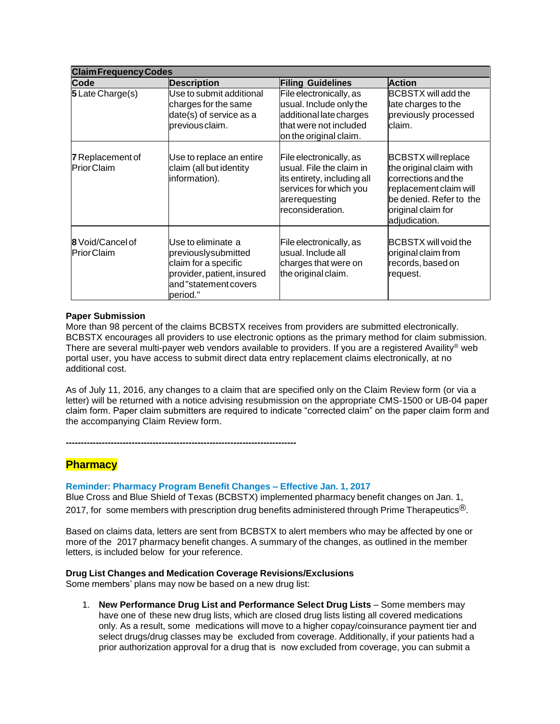| <b>Claim Frequency Codes</b>          |                                                                                                                                      |                                                                                                                                                   |                                                                                                                                                                          |
|---------------------------------------|--------------------------------------------------------------------------------------------------------------------------------------|---------------------------------------------------------------------------------------------------------------------------------------------------|--------------------------------------------------------------------------------------------------------------------------------------------------------------------------|
| Code                                  | <b>Description</b>                                                                                                                   | <b>Filing Guidelines</b>                                                                                                                          | <b>Action</b>                                                                                                                                                            |
| 5 Late Charge(s)                      | Use to submit additional<br>charges for the same<br>date(s) of service as a<br>previous claim.                                       | File electronically, as<br>usual. Include only the<br>additional late charges<br>that were not included<br>on the original claim.                 | <b>BCBSTX will add the</b><br>late charges to the<br>previously processed<br>claim.                                                                                      |
| 7 Replacement of<br>Prior Claim       | Use to replace an entire<br>claim (all but identity<br>information).                                                                 | File electronically, as<br>usual. File the claim in<br>its entirety, including all<br>services for which you<br>arerequesting<br>reconsideration. | <b>BCBSTX</b> will replace<br>the original claim with<br>corrections and the<br>replacement claim will<br>be denied. Refer to the<br>original claim for<br>adjudication. |
| 8 Void/Cancel of<br><b>PriorClaim</b> | Use to eliminate a<br>previouslysubmitted<br>claim for a specific<br>provider, patient, insured<br>and "statement covers<br>period." | File electronically, as<br>usual. Include all<br>charges that were on<br>the original claim.                                                      | <b>BCBSTX will void the</b><br>original claim from<br>records, based on<br>request.                                                                                      |

#### **Paper Submission**

More than 98 percent of the claims BCBSTX receives from providers are submitted electronically. BCBSTX encourages all providers to use electronic options as the primary method for claim submission. There are several multi-payer web vendors available to providers. If you are a registered Availity® web portal user, you have access to submit direct data entry replacement claims electronically, at no additional cost.

As of July 11, 2016, any changes to a claim that are specified only on the Claim Review form (or via a letter) will be returned with a notice advising resubmission on the appropriate CMS-1500 or UB-04 paper claim form. Paper claim submitters are required to indicate "corrected claim" on the paper claim form and the accompanying Claim Review form.

**Pharmacy**

### **Reminder: Pharmacy Program Benefit Changes – Effective Jan. 1, 2017**

Blue Cross and Blue Shield of Texas (BCBSTX) implemented pharmacy benefit changes on Jan. 1, 2017, for some members with prescription drug benefits administered through Prime Therapeutics<sup>®</sup>.

Based on claims data, letters are sent from BCBSTX to alert members who may be affected by one or more of the 2017 pharmacy benefit changes. A summary of the changes, as outlined in the member letters, is included below for your reference.

### **Drug List Changes and Medication Coverage Revisions/Exclusions**

Some members' plans may now be based on a new drug list:

**-----------------------------------------------------------------------------**

1. **New Performance Drug List and Performance Select Drug Lists** – Some members may have one of these new drug lists, which are closed drug lists listing all covered medications only. As a result, some medications will move to a higher copay/coinsurance payment tier and select drugs/drug classes may be excluded from coverage. Additionally, if your patients had a prior authorization approval for a drug that is now excluded from coverage, you can submit a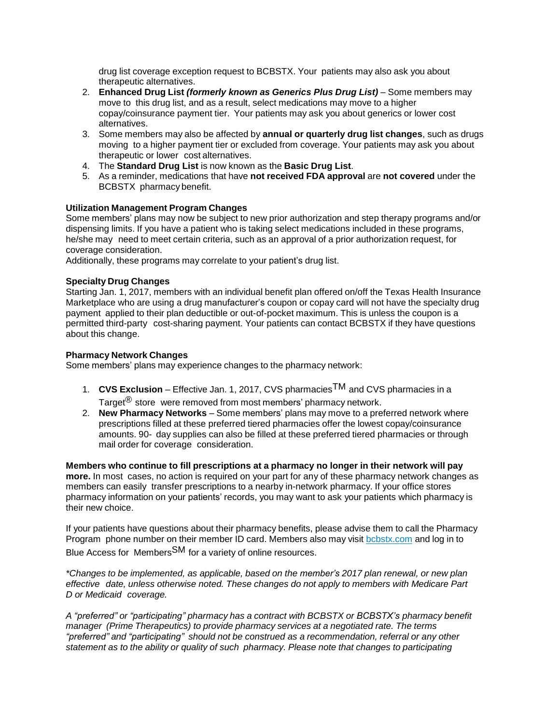drug list coverage exception request to BCBSTX. Your patients may also ask you about therapeutic alternatives.

- 2. **Enhanced Drug List** *(formerly known as Generics Plus Drug List)* Some members may move to this drug list, and as a result, select medications may move to a higher copay/coinsurance payment tier. Your patients may ask you about generics or lower cost alternatives.
- 3. Some members may also be affected by **annual or quarterly drug list changes**, such as drugs moving to a higher payment tier or excluded from coverage. Your patients may ask you about therapeutic or lower cost alternatives.
- 4. The **Standard Drug List** is now known as the **Basic Drug List**.
- 5. As a reminder, medications that have **not received FDA approval** are **not covered** under the BCBSTX pharmacy benefit.

### **Utilization Management Program Changes**

Some members' plans may now be subject to new prior authorization and step therapy programs and/or dispensing limits. If you have a patient who is taking select medications included in these programs, he/she may need to meet certain criteria, such as an approval of a prior authorization request, for coverage consideration.

Additionally, these programs may correlate to your patient's drug list.

### **Specialty Drug Changes**

Starting Jan. 1, 2017, members with an individual benefit plan offered on/off the Texas Health Insurance Marketplace who are using a drug manufacturer's coupon or copay card will not have the specialty drug payment applied to their plan deductible or out-of-pocket maximum. This is unless the coupon is a permitted third-party cost-sharing payment. Your patients can contact BCBSTX if they have questions about this change.

### **Pharmacy Network Changes**

Some members' plans may experience changes to the pharmacy network:

- 1. **CVS Exclusion** Effective Jan. 1, 2017, CVS pharmaciesTM and CVS pharmacies in a Target<sup>®</sup> store were removed from most members' pharmacy network.
- 2. **New Pharmacy Networks** Some members' plans may move to a preferred network where prescriptions filled at these preferred tiered pharmacies offer the lowest copay/coinsurance amounts. 90- day supplies can also be filled at these preferred tiered pharmacies or through mail order for coverage consideration.

**Members who continue to fill prescriptions at a pharmacy no longer in their network will pay more.** In most cases, no action is required on your part for any of these pharmacy network changes as members can easily transfer prescriptions to a nearby in-network pharmacy. If your office stores pharmacy information on your patients' records, you may want to ask your patients which pharmacy is their new choice.

If your patients have questions about their pharmacy benefits, please advise them to call the Pharmacy Program phone number on their member ID card. Members also may visit [bcbstx.com](https://www.bcbstx.com/member) and log in to Blue Access for Members<sup>SM</sup> for a variety of online resources.

*\*Changes to be implemented, as applicable, based on the member's 2017 plan renewal, or new plan effective date, unless otherwise noted. These changes do not apply to members with Medicare Part D or Medicaid coverage.*

*A "preferred" or "participating" pharmacy has a contract with BCBSTX or BCBSTX's pharmacy benefit manager (Prime Therapeutics) to provide pharmacy services at a negotiated rate. The terms "preferred" and "participating" should not be construed as a recommendation, referral or any other statement as to the ability or quality of such pharmacy. Please note that changes to participating*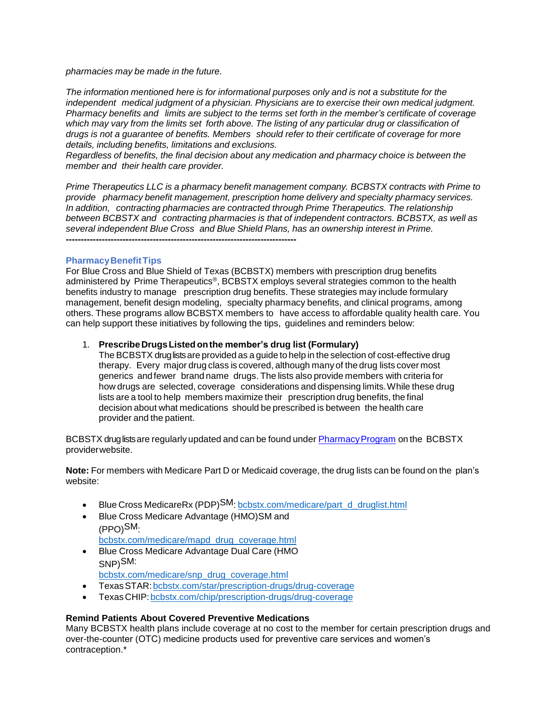*pharmacies may be made in the future.*

*The information mentioned here is for informational purposes only and is not a substitute for the independent medical judgment of a physician. Physicians are to exercise their own medical judgment. Pharmacy benefits and limits are subject to the terms set forth in the member's certificate of coverage* which may vary from the limits set forth above. The listing of any particular drug or classification of *drugs is not a guarantee of benefits. Members should refer to their certificate of coverage for more details, including benefits, limitations and exclusions.*

*Regardless of benefits, the final decision about any medication and pharmacy choice is between the member and their health care provider.*

*Prime Therapeutics LLC is a pharmacy benefit management company. BCBSTX contracts with Prime to provide pharmacy benefit management, prescription home delivery and specialty pharmacy services. In addition, contracting pharmacies are contracted through Prime Therapeutics. The relationship between BCBSTX and contracting pharmacies is that of independent contractors. BCBSTX, as well as several independent Blue Cross and Blue Shield Plans, has an ownership interest in Prime.* **-----------------------------------------------------------------------------**

#### **Pharmacy Benefit Tips**

For Blue Cross and Blue Shield of Texas (BCBSTX) members with prescription drug benefits administered by Prime Therapeutics®, BCBSTX employs several strategies common to the health benefits industry to manage prescription drug benefits. These strategies may include formulary management, benefit design modeling, specialty pharmacy benefits, and clinical programs, among others. These programs allow BCBSTX members to have access to affordable quality health care. You can help support these initiatives by following the tips, guidelines and reminders below:

#### 1. **PrescribeDrugsListedonthe member's drug list (Formulary)**

The BCBSTX druglistsare provided as a guide to help in the selection of cost-effective drug therapy. Every major drug class is covered, although manyof the drug lists cover most generics andfewer brand name drugs. The lists also provide members with criteria for how drugs are selected, coverage considerations and dispensing limits.While these drug lists are a tool to help members maximize their prescription drug benefits, the final decision about what medications should be prescribed is between the health care provider and the patient.

BCBSTX druglists are regularly updated and can be found under Pharmacy Program on the BCBSTX providerwebsite.

**Note:** For members with Medicare Part D or Medicaid coverage, the drug lists can be found on the plan's website:

- Blue Cross MedicareRx (PDP)<sup>SM</sup>: [bcbstx.com/medicare/part\\_d\\_druglist.html](http://www.bcbstx.com/medicare/part_d_druglist.html)
- Blue Cross Medicare Advantage (HMO)SM and (PPO)SM: [bcbstx.com/medicare/mapd\\_drug\\_coverage.html](http://www.bcbstx.com/medicare/mapd_drug_coverage.html)
- Blue Cross Medicare Advantage Dual Care (HMO SNP)SM:

[bcbstx.com/medicare/snp\\_drug\\_coverage.html](http://www.bcbstx.com/medicare/snp_drug_coverage.html)

- TexasSTAR[:bcbstx.com/star/prescription-drugs/drug-coverage](http://www.bcbstx.com/star/prescription-drugs/drug-coverage)
- TexasCHIP[:bcbstx.com/chip/prescription-drugs/drug-coverage](http://www.bcbstx.com/chip/prescription-drugs/drug-coverage)

#### **Remind Patients About Covered Preventive Medications**

Many BCBSTX health plans include coverage at no cost to the member for certain prescription drugs and over-the-counter (OTC) medicine products used for preventive care services and women's contraception.\*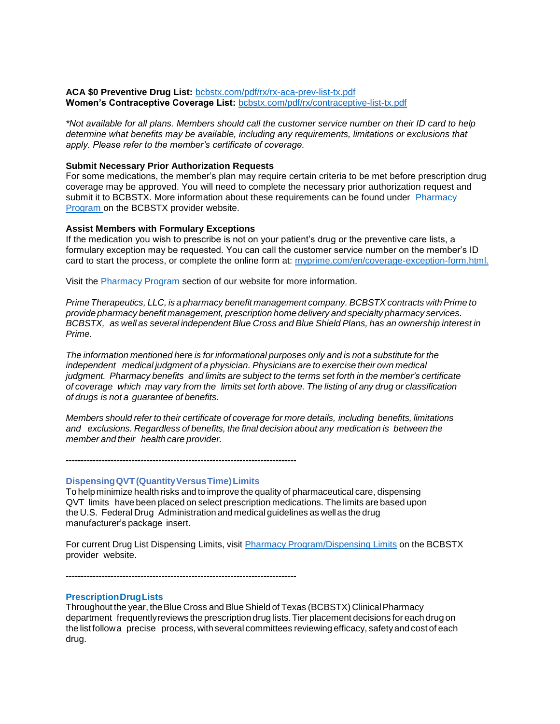#### **ACA \$0 Preventive Drug List:** [bcbstx.com/pdf/rx/rx-aca-prev-list-tx.pdf](http://www.bcbstx.com/pdf/rx/rx-aca-prev-list-tx.pdf) **Women's Contraceptive Coverage List:** [bcbstx.com/pdf/rx/contraceptive-list-tx.pdf](http://www.bcbstx.com/pdf/rx/contraceptive-list-tx.pdf)

*\*Not available for all plans. Members should call the customer service number on their ID card to help determine what benefits may be available, including any requirements, limitations or exclusions that apply. Please refer to the member's certificate of coverage.*

#### **Submit Necessary Prior Authorization Requests**

For some medications, the member's plan may require certain criteria to be met before prescription drug coverage may be approved. You will need to complete the necessary prior authorization request and submit it to BCBSTX. More information about these requirements can be found under [Pharmacy](https://www.bcbstx.com/provider/pharmacy/pa_step_therapy.html)  [Program o](https://www.bcbstx.com/provider/pharmacy/pa_step_therapy.html)n the BCBSTX provider website.

#### **Assist Members with Formulary Exceptions**

If the medication you wish to prescribe is not on your patient's drug or the preventive care lists, a formulary exception may be requested. You can call the customer service number on the member's ID card to start the process, or complete the online form at: [myprime.com/en/coverage-exception-form.html.](http://www.myprime.com/en/coverage-exception-form.html)

Visit the [Pharmacy Program s](http://www.bcbstx.com/provider/pharmacy/index.html)ection of our website for more information.

*Prime Therapeutics, LLC, is a pharmacy benefit management company. BCBSTX contracts withPrime to provide pharmacy benefit management, prescription home delivery and specialty pharmacy services. BCBSTX, as well as several independent Blue Cross and Blue Shield Plans, has an ownership interest in Prime.*

*The information mentioned here is for informational purposes only and is not a substitute for the independent medical judgment of a physician. Physicians are to exercise their own medical judgment. Pharmacy benefits and limits are subject to the terms set forth in the member's certificate* of coverage which may vary from the limits set forth above. The listing of any drug or classification *of drugs is not a guarantee of benefits.*

*Members should refer to their certificate of coverage for more details, including benefits, limitations and exclusions. Regardless of benefits, the final decision about any medication is between the member and their health care provider.*

**-----------------------------------------------------------------------------**

### **DispensingQVT(QuantityVersusTime)Limits**

To helpminimize health risks and to improve the quality of pharmaceutical care, dispensing QVT limits have been placed on select prescription medications. The limits are based upon the U.S. Federal Drug Administration andmedical guidelines as wellas the drug manufacturer's package insert.

For current Drug List Dispensing Limits, visit Pharmacy [Program/Dispensing](https://www.bcbstx.com/provider/pharmacy/quantity_time.html) Limits on the BCBSTX provider website.

**-----------------------------------------------------------------------------**

#### **PrescriptionDrugLists**

Throughout the year, theBlue Cross and BlueShield of Texas (BCBSTX) ClinicalPharmacy department frequentlyreviews the prescription drug lists.Tier placement decisions for each drug on the list followa precise process, with several committees reviewing efficacy, safetyand cost of each drug.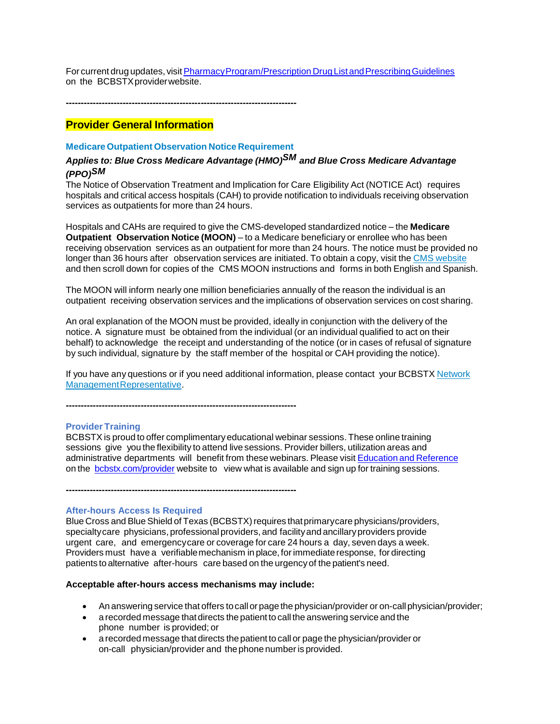For current drug updates, visit Pharmacy Program/Prescription Drug List and Prescribing Guidelines on the BCBSTX provider website.

**-----------------------------------------------------------------------------**

### **Provider General Information**

#### **Medicare Outpatient Observation Notice Requirement**

### *Applies to: Blue Cross Medicare Advantage (HMO)SM and Blue Cross Medicare Advantage (PPO)SM*

The Notice of Observation Treatment and Implication for Care Eligibility Act (NOTICE Act) requires hospitals and critical access hospitals (CAH) to provide notification to individuals receiving observation services as outpatients for more than 24 hours.

Hospitals and CAHs are required to give the CMS-developed standardized notice – the **Medicare Outpatient Observation Notice (MOON)** – to a Medicare beneficiary or enrollee who has been receiving observation services as an outpatient for more than 24 hours. The notice must be provided no longer than 36 hours after observation services are initiated. To obtain a copy, visit the CMS [website](https://www.cms.gov/Medicare/Medicare-General-Information/BNI/index.html) and then scroll down for copies of the CMS MOON instructions and forms in both English and Spanish.

The MOON will inform nearly one million beneficiaries annually of the reason the individual is an outpatient receiving observation services and the implications of observation services on cost sharing.

An oral explanation of the MOON must be provided, ideally in conjunction with the delivery of the notice. A signature must be obtained from the individual (or an individual qualified to act on their behalf) to acknowledge the receipt and understanding of the notice (or in cases of refusal of signature by such individual, signature by the staff member of the hospital or CAH providing the notice).

If you have any questions or if you need additional information, please contact your BCBSTX [Network](https://www.bcbstx.com/provider/contact_us.html#localnetwork) [ManagementRepresentative.](https://www.bcbstx.com/provider/contact_us.html#localnetwork)

**-----------------------------------------------------------------------------**

#### **Provider Training**

BCBSTX is proud to offer complimentaryeducational webinar sessions. These online training sessions give you the flexibility to attend live sessions. Provider billers, utilization areas and administrative departments will benefit from these webinars. Please visit Education and [Reference](http://www.bcbstx.com/provider/training/index.html) on the [bcbstx.com/provider](http://www.bcbstx.com/provider/index.html) website to view what is available and sign up for training sessions.

**-----------------------------------------------------------------------------**

#### **After-hours Access Is Required**

Blue Cross and Blue Shield of Texas (BCBSTX) requires that primary care physicians/providers, specialtycare physicians, professional providers, and facilityand ancillaryproviders provide urgent care, and emergencycare or coverage for care 24 hours a day, seven days a week. Providers must have a verifiablemechanism in place, forimmediate response, for directing patients to alternative after-hours care based on the urgency of the patient's need.

#### **Acceptable after-hours access mechanisms may include:**

- An answering service that offers tocall or page the physician/provider or on-call physician/provider;
- a recorded message thatdirects the patient to call the answering service and the phone number is provided; or
- a recorded message that directs thepatient to call or page the physician/provider or on-call physician/provider and thephone numberis provided.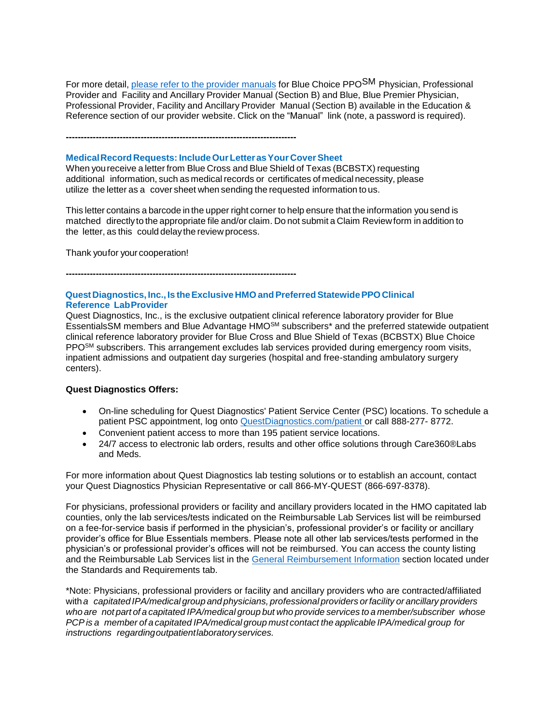For more detail, please refer to the provider [manuals](https://www.bcbstx.com/provider/gri/index.html) for Blue Choice PPO<sup>SM</sup> Physician, Professional Provider and Facility and Ancillary Provider Manual (Section B) and Blue, Blue Premier Physician, Professional Provider, Facility and Ancillary Provider Manual (Section B) available in the Education & Reference section of our provider website. Click on the "Manual" link (note, a password is required).

**-----------------------------------------------------------------------------**

#### **MedicalRecord Requests: IncludeOurLetterasYour CoverSheet**

When youreceive a letter from Blue Cross and Blue Shield of Texas (BCBSTX) requesting additional information, such as medical records or certificates of medical necessity, please utilize the letter as a cover sheet when sending the requested information to us.

This letter contains a barcode in the upper right corner to help ensure that the information you send is matched directlyto the appropriate file and/or claim. Do not submit a Claim Reviewform in addition to the letter, as this could delaythe review process.

Thank youfor your cooperation!

**-----------------------------------------------------------------------------**

### **QuestDiagnostics, Inc., Is theExclusive HMO andPreferredStatewidePPOClinical Reference LabProvider**

Quest Diagnostics, Inc., is the exclusive outpatient clinical reference laboratory provider for Blue EssentialsSM members and Blue Advantage HMOSM subscribers\* and the preferred statewide outpatient clinical reference laboratory provider for Blue Cross and Blue Shield of Texas (BCBSTX) Blue Choice PPOSM subscribers. This arrangement excludes lab services provided during emergency room visits, inpatient admissions and outpatient day surgeries (hospital and free-standing ambulatory surgery centers).

#### **Quest Diagnostics Offers:**

- On-line scheduling for Quest Diagnostics' Patient Service Center (PSC) locations. To schedule a patient PSC appointment, log onto [QuestDiagnostics.com/patient](https://www.questdiagnostics.com/home/patients) or call 888-277- 8772.
- Convenient patient access to more than 195 patient service locations.
- 24/7 access to electronic lab orders, results and other office solutions through Care360®Labs and Meds.

For more information about Quest Diagnostics lab testing solutions or to establish an account, contact your Quest Diagnostics Physician Representative or call 866-MY-QUEST (866-697-8378).

For physicians, professional providers or facility and ancillary providers located in the HMO capitated lab counties, only the lab services/tests indicated on the Reimbursable Lab Services list will be reimbursed on a fee-for-service basis if performed in the physician's, professional provider's or facility or ancillary provider's office for Blue Essentials members. Please note all other lab services/tests performed in the physician's or professional provider's offices will not be reimbursed. You can access the county listing and the Reimbursable Lab Services list in the [General Reimbursement Information](https://www.bcbstx.com/provider/gri/index.html) section located under the Standards and Requirements tab.

\*Note: Physicians, professional providers or facility and ancillary providers who are contracted/affiliated with*a capitated IPA/medical group and physicians, professional providers orfacility or ancillary providers who are not part of a capitated IPA/medical group but who provide services to a member/subscriber whose PCPis a member of a capitated IPA/medical group must contact the applicable IPA/medical group for instructions regardingoutpatientlaboratoryservices.*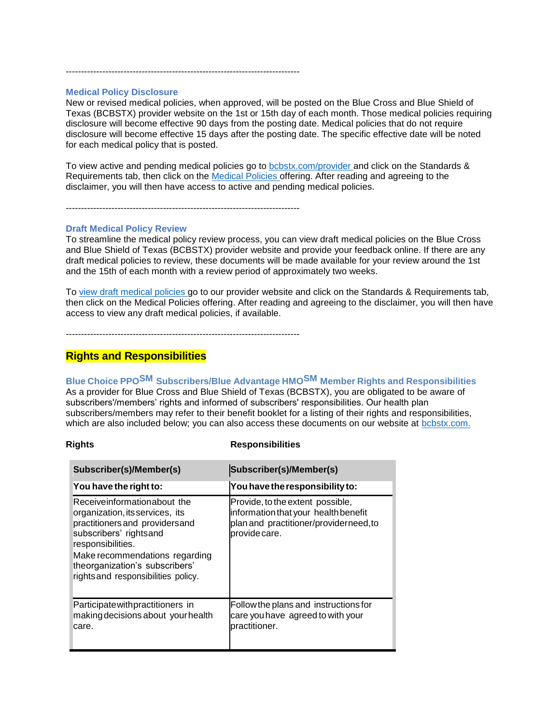#### **Medical Policy Disclosure**

New or revised medical policies, when approved, will be posted on the Blue Cross and Blue Shield of Texas (BCBSTX) provider website on the 1st or 15th day of each month. Those medical policies requiring disclosure will become effective 90 days from the posting date. Medical policies that do not require disclosure will become effective 15 days after the posting date. The specific effective date will be noted for each medical policy that is posted.

To view active and pending medical policies go to [bcbstx.com/provider](https://www.bcbstx.com/provider/) and click on the Standards & Requirements tab, then click on the [Medical Policies o](http://www.medicalpolicy.hcsc.net/medicalpolicy/disclaimer?corpEntCd=TX1)ffering. After reading and agreeing to the disclaimer, you will then have access to active and pending medical policies.

-----------------------------------------------------------------------------

-----------------------------------------------------------------------------

#### **Draft Medical Policy Review**

To streamline the medical policy review process, you can view draft medical policies on the Blue Cross and Blue Shield of Texas (BCBSTX) provider website and provide your feedback online. If there are any draft medical policies to review, these documents will be made available for your review around the 1st and the 15th of each month with a review period of approximately two weeks.

To [view draft medical policies](http://www.medicalpolicy.hcsc.net/medicalpolicy/disclaimer?corpEntCd=TX1) go to our provider website and click on the Standards & Requirements tab, then click on the Medical Policies offering. After reading and agreeing to the disclaimer, you will then have access to view any draft medical policies, if available.

-----------------------------------------------------------------------------

### **Rights and Responsibilities**

### **Blue Choice PPOSM Subscribers/Blue Advantage HMOSM Member Rights and Responsibilities** As a provider for Blue Cross and Blue Shield of Texas (BCBSTX), you are obligated to be aware of

subscribers'/members' rights and informed of subscribers' responsibilities. Our health plan subscribers/members may refer to their benefit booklet for a listing of their rights and responsibilities, which are also included below; you can also access these documents on our website at [bcbstx.com.](https://www.bcbstx.com/provider/)

#### **Rights Responsibilities**

| Subscriber(s)/Member(s)                                                                                                                                                                                                                                       | Subscriber(s)/Member(s)                                                                                                             |
|---------------------------------------------------------------------------------------------------------------------------------------------------------------------------------------------------------------------------------------------------------------|-------------------------------------------------------------------------------------------------------------------------------------|
| You have the right to:                                                                                                                                                                                                                                        | You have the responsibility to:                                                                                                     |
| Receive information about the<br>organization, its services, its<br>practitioners and providers and<br>subscribers' rightsand<br>responsibilities.<br>Make recommendations regarding<br>theorganization's subscribers'<br>rights and responsibilities policy. | Provide, to the extent possible,<br>information that your health benefit<br>plan and practitioner/providerneed, to<br>provide care. |
| Participate with practitioners in<br>making decisions about your health<br>care.                                                                                                                                                                              | Follow the plans and instructions for<br>care you have agreed to with your<br>practitioner.                                         |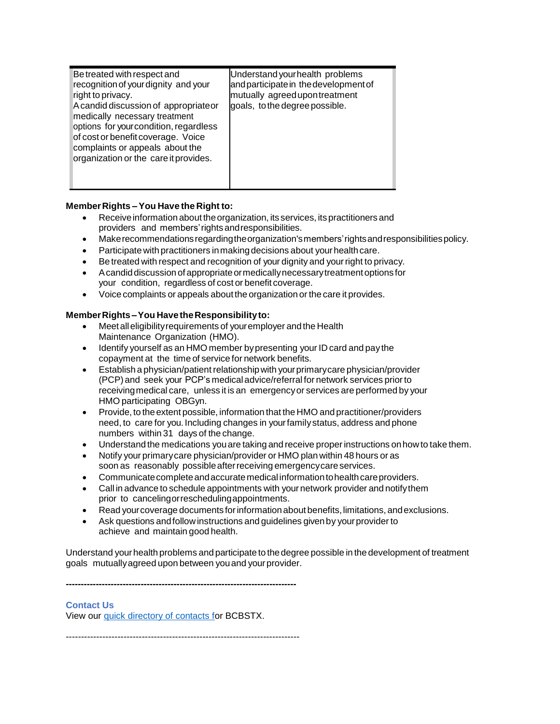| mutually agreed upon treatment<br>right to privacy.<br>goals, to the degree possible.<br>A candid discussion of appropriateor<br>medically necessary treatment<br>options for your condition, regardless<br>of cost or benefit coverage. Voice<br>complaints or appeals about the<br>organization or the care it provides. |
|----------------------------------------------------------------------------------------------------------------------------------------------------------------------------------------------------------------------------------------------------------------------------------------------------------------------------|
|----------------------------------------------------------------------------------------------------------------------------------------------------------------------------------------------------------------------------------------------------------------------------------------------------------------------------|

### **MemberRights –You Have the Right to:**

- Receive information about the organization, its services, its practitioners and providers and members'rights andresponsibilities.
- Make recommendations regarding the organization's members' rights and responsibilities policy.
- Participate with practitioners in making decisions about your health care.
- Be treated with respect and recognition of your dignity and your right to privacy.
- A candid discussion of appropriate or medically necessary treatment options for your condition, regardless of cost or benefit coverage.
- Voice complaints or appeals about the organization or the care it provides.

### **MemberRights–You HavetheResponsibilityto:**

- Meet all eligibility requirements of your employer and the Health Maintenance Organization (HMO).
- Identify yourself as an HMO member bypresenting your ID card and pay the copayment at the time of service for network benefits.
- Establish a physician/patientrelationshipwith yourprimarycare physician/provider (PCP) and seek your PCP's medical advice/referral for network services priorto receivingmedical care, unless it is an emergencyor services are performed by your HMO participating OBGyn.
- Provide, to the extent possible, information that the HMO and practitioner/providers need, to care for you. Including changes in yourfamilystatus, address and phone numbers within 31 days of the change.
- Understand the medications youare taking and receive properinstructions onhowto take them.
- Notify your primarycare physician/provider or HMO plan within 48 hours or as soon as reasonably possible after receiving emergency care services.
- Communicate complete and accurate medical information to health care providers.
- Call in advance to schedule appointments with your network provider and notifythem prior to cancelingorreschedulingappointments.
- Read yourcoverage documents forinformationabout benefits,limitations, andexclusions.
- Ask questions and follow instructions and guidelines given by your provider to achieve and maintain good health.

Understand yourhealth problems and participate to thedegree possible in the development of treatment goals mutuallyagreed upon between youand yourprovider.

### **Contact Us**

View our [quick directory of contacts fo](http://www.bcbstx.com/provider/contact_us.html)r BCBSTX.

-----------------------------------------------------------------------------

**-----------------------------------------------------------------------------**